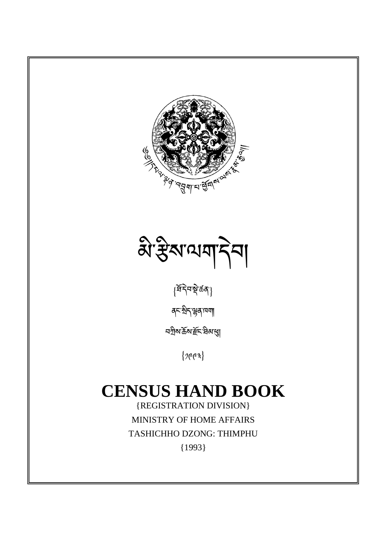



 $\{\widehat{{\mathtt{x}}}\widehat{{\mathtt{y}}}$ নমুক্তর্ $\widehat{{\mathtt{y}}}$ 

ནང་ིད་ན་ཁག།

<u>ব</u>শ্ৰীম'ৰ্ক্ৰম'ৰ্ষ্ট্ৰহ'ৰিম'ৰ্<mark>ম</mark>্

 $\{$ 763}

# **CENSUS HAND BOOK**

{REGISTRATION DIVISION} MINISTRY OF HOME AFFAIRS TASHICHHO DZONG: THIMPHU {1993}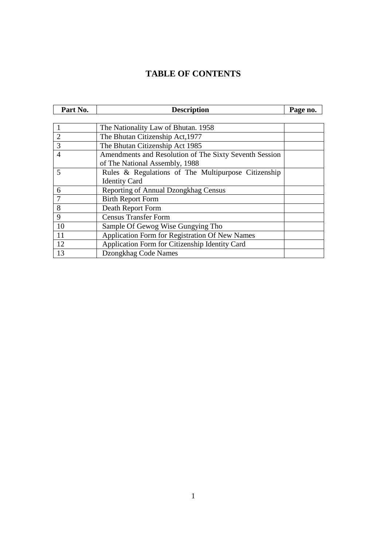# **TABLE OF CONTENTS**

| Part No.       | <b>Description</b>                                                                       | Page no. |
|----------------|------------------------------------------------------------------------------------------|----------|
|                |                                                                                          |          |
|                | The Nationality Law of Bhutan. 1958                                                      |          |
| $\overline{2}$ | The Bhutan Citizenship Act, 1977                                                         |          |
| 3              | The Bhutan Citizenship Act 1985                                                          |          |
| $\overline{4}$ | Amendments and Resolution of The Sixty Seventh Session<br>of The National Assembly, 1988 |          |
| 5              | Rules & Regulations of The Multipurpose Citizenship<br><b>Identity Card</b>              |          |
| 6              | Reporting of Annual Dzongkhag Census                                                     |          |
| 7              | <b>Birth Report Form</b>                                                                 |          |
| 8              | Death Report Form                                                                        |          |
| 9              | <b>Census Transfer Form</b>                                                              |          |
| 10             | Sample Of Gewog Wise Gungying Tho                                                        |          |
| 11             | Application Form for Registration Of New Names                                           |          |
| 12             | Application Form for Citizenship Identity Card                                           |          |
| 13             | Dzongkhag Code Names                                                                     |          |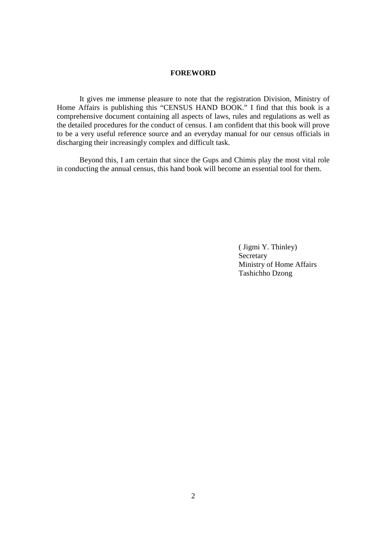#### **FOREWORD**

 It gives me immense pleasure to note that the registration Division, Ministry of Home Affairs is publishing this "CENSUS HAND BOOK." I find that this book is a comprehensive document containing all aspects of laws, rules and regulations as well as the detailed procedures for the conduct of census. I am confident that this book will prove to be a very useful reference source and an everyday manual for our census officials in discharging their increasingly complex and difficult task.

 Beyond this, I am certain that since the Gups and Chimis play the most vital role in conducting the annual census, this hand book will become an essential tool for them.

> ( Jigmi Y. Thinley) Secretary Ministry of Home Affairs Tashichho Dzong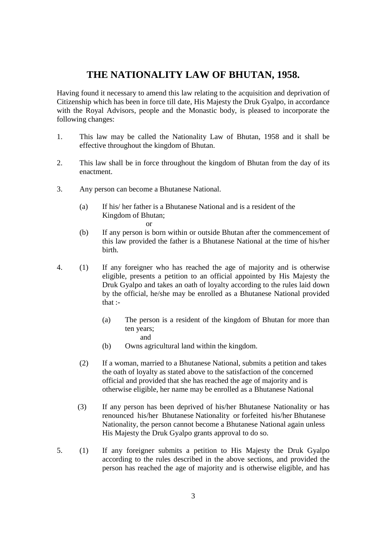## **THE NATIONALITY LAW OF BHUTAN, 1958.**

Having found it necessary to amend this law relating to the acquisition and deprivation of Citizenship which has been in force till date, His Majesty the Druk Gyalpo, in accordance with the Royal Advisors, people and the Monastic body, is pleased to incorporate the following changes:

- 1. This law may be called the Nationality Law of Bhutan, 1958 and it shall be effective throughout the kingdom of Bhutan.
- 2. This law shall be in force throughout the kingdom of Bhutan from the day of its enactment.
- 3. Any person can become a Bhutanese National.
	- (a) If his/ her father is a Bhutanese National and is a resident of the Kingdom of Bhutan; or
	- (b) If any person is born within or outside Bhutan after the commencement of this law provided the father is a Bhutanese National at the time of his/her birth.
- 4. (1) If any foreigner who has reached the age of majority and is otherwise eligible, presents a petition to an official appointed by His Majesty the Druk Gyalpo and takes an oath of loyalty according to the rules laid down by the official, he/she may be enrolled as a Bhutanese National provided that :-
	- (a) The person is a resident of the kingdom of Bhutan for more than ten years; and
	- (b) Owns agricultural land within the kingdom.
	- (2) If a woman, married to a Bhutanese National, submits a petition and takes the oath of loyalty as stated above to the satisfaction of the concerned official and provided that she has reached the age of majority and is otherwise eligible, her name may be enrolled as a Bhutanese National
	- (3) If any person has been deprived of his/her Bhutanese Nationality or has renounced his/her Bhutanese Nationality or forfeited his/her Bhutanese Nationality, the person cannot become a Bhutanese National again unless His Majesty the Druk Gyalpo grants approval to do so.
- 5. (1) If any foreigner submits a petition to His Majesty the Druk Gyalpo according to the rules described in the above sections, and provided the person has reached the age of majority and is otherwise eligible, and has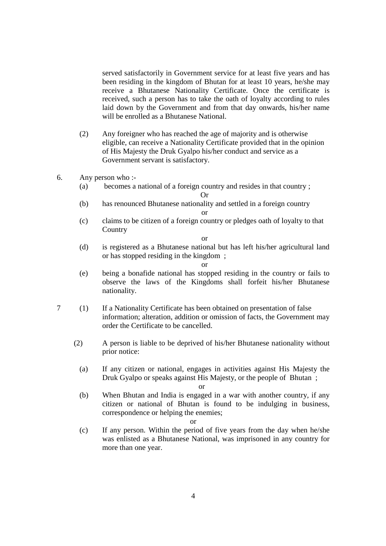served satisfactorily in Government service for at least five years and has been residing in the kingdom of Bhutan for at least 10 years, he/she may receive a Bhutanese Nationality Certificate. Once the certificate is received, such a person has to take the oath of loyalty according to rules laid down by the Government and from that day onwards, his/her name will be enrolled as a Bhutanese National.

 (2) Any foreigner who has reached the age of majority and is otherwise eligible, can receive a Nationality Certificate provided that in the opinion of His Majesty the Druk Gyalpo his/her conduct and service as a Government servant is satisfactory.

#### 6. Any person who :-

 (a) becomes a national of a foreign country and resides in that country ; Or

(b) has renounced Bhutanese nationality and settled in a foreign country or

(c) claims to be citizen of a foreign country or pledges oath of loyalty to that **Country** 

or

(d) is registered as a Bhutanese national but has left his/her agricultural land or has stopped residing in the kingdom ;

or

- (e) being a bonafide national has stopped residing in the country or fails to observe the laws of the Kingdoms shall forfeit his/her Bhutanese nationality.
- 7 (1) If a Nationality Certificate has been obtained on presentation of false information; alteration, addition or omission of facts, the Government may order the Certificate to be cancelled.
	- (2) A person is liable to be deprived of his/her Bhutanese nationality without prior notice:
		- (a) If any citizen or national, engages in activities against His Majesty the Druk Gyalpo or speaks against His Majesty, or the people of Bhutan ;

or

(b) When Bhutan and India is engaged in a war with another country, if any citizen or national of Bhutan is found to be indulging in business, correspondence or helping the enemies;

or

(c) If any person. Within the period of five years from the day when he/she was enlisted as a Bhutanese National, was imprisoned in any country for more than one year.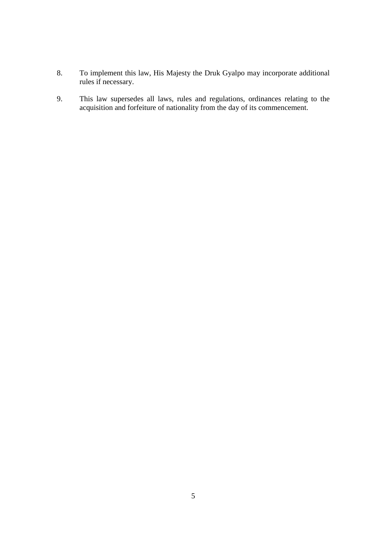- 8. To implement this law, His Majesty the Druk Gyalpo may incorporate additional rules if necessary.
- 9. This law supersedes all laws, rules and regulations, ordinances relating to the acquisition and forfeiture of nationality from the day of its commencement.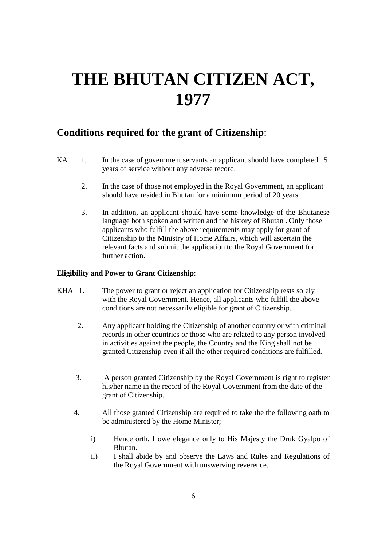# **THE BHUTAN CITIZEN ACT, 1977**

# **Conditions required for the grant of Citizenship**:

- KA 1. In the case of government servants an applicant should have completed 15 years of service without any adverse record.
	- 2. In the case of those not employed in the Royal Government, an applicant should have resided in Bhutan for a minimum period of 20 years.
	- 3. In addition, an applicant should have some knowledge of the Bhutanese language both spoken and written and the history of Bhutan . Only those applicants who fulfill the above requirements may apply for grant of Citizenship to the Ministry of Home Affairs, which will ascertain the relevant facts and submit the application to the Royal Government for further action.

#### **Eligibility and Power to Grant Citizenship**:

- KHA 1. The power to grant or reject an application for Citizenship rests solely with the Royal Government. Hence, all applicants who fulfill the above conditions are not necessarily eligible for grant of Citizenship.
	- 2. Any applicant holding the Citizenship of another country or with criminal records in other countries or those who are related to any person involved in activities against the people, the Country and the King shall not be granted Citizenship even if all the other required conditions are fulfilled.
	- 3. A person granted Citizenship by the Royal Government is right to register his/her name in the record of the Royal Government from the date of the grant of Citizenship.
	- 4. All those granted Citizenship are required to take the the following oath to be administered by the Home Minister;
		- i) Henceforth, I owe elegance only to His Majesty the Druk Gyalpo of Bhutan.
		- ii) I shall abide by and observe the Laws and Rules and Regulations of the Royal Government with unswerving reverence.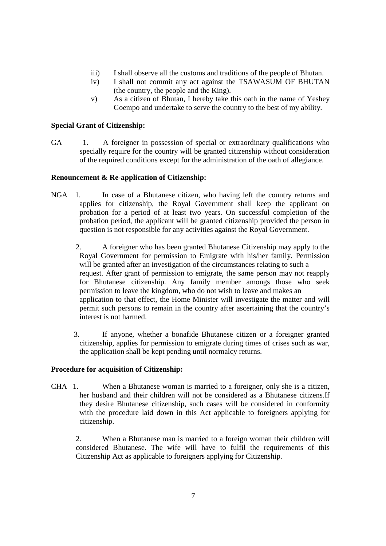- iii) I shall observe all the customs and traditions of the people of Bhutan.
- iv) I shall not commit any act against the TSAWASUM OF BHUTAN (the country, the people and the King).
- v) As a citizen of Bhutan, I hereby take this oath in the name of Yeshey Goempo and undertake to serve the country to the best of my ability.

#### **Special Grant of Citizenship:**

GA 1. A foreigner in possession of special or extraordinary qualifications who specially require for the country will be granted citizenship without consideration of the required conditions except for the administration of the oath of allegiance.

#### **Renouncement & Re-application of Citizenship:**

- NGA 1. In case of a Bhutanese citizen, who having left the country returns and applies for citizenship, the Royal Government shall keep the applicant on probation for a period of at least two years. On successful completion of the probation period, the applicant will be granted citizenship provided the person in question is not responsible for any activities against the Royal Government.
	- 2. A foreigner who has been granted Bhutanese Citizenship may apply to the Royal Government for permission to Emigrate with his/her family. Permission will be granted after an investigation of the circumstances relating to such a request. After grant of permission to emigrate, the same person may not reapply for Bhutanese citizenship. Any family member amongs those who seek permission to leave the kingdom, who do not wish to leave and makes an application to that effect, the Home Minister will investigate the matter and will permit such persons to remain in the country after ascertaining that the country's interest is not harmed.
	- 3. If anyone, whether a bonafide Bhutanese citizen or a foreigner granted citizenship, applies for permission to emigrate during times of crises such as war, the application shall be kept pending until normalcy returns.

#### **Procedure for acquisition of Citizenship:**

CHA 1. When a Bhutanese woman is married to a foreigner, only she is a citizen, her husband and their children will not be considered as a Bhutanese citizens.If they desire Bhutanese citizenship, such cases will be considered in conformity with the procedure laid down in this Act applicable to foreigners applying for citizenship.

2. When a Bhutanese man is married to a foreign woman their children will considered Bhutanese. The wife will have to fulfil the requirements of this Citizenship Act as applicable to foreigners applying for Citizenship.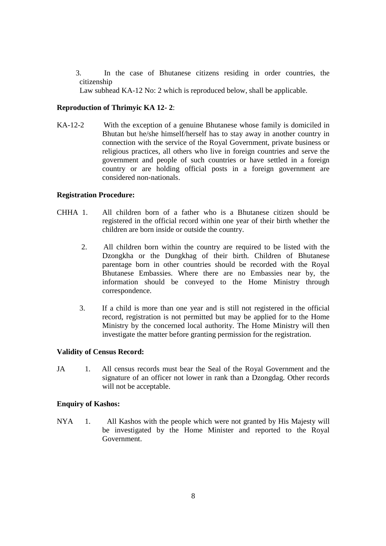3. In the case of Bhutanese citizens residing in order countries, the citizenship

Law subhead KA-12 No: 2 which is reproduced below, shall be applicable.

#### **Reproduction of Thrimyic KA 12- 2**:

KA-12-2 With the exception of a genuine Bhutanese whose family is domiciled in Bhutan but he/she himself/herself has to stay away in another country in connection with the service of the Royal Government, private business or religious practices, all others who live in foreign countries and serve the government and people of such countries or have settled in a foreign country or are holding official posts in a foreign government are considered non-nationals.

#### **Registration Procedure:**

- CHHA 1. All children born of a father who is a Bhutanese citizen should be registered in the official record within one year of their birth whether the children are born inside or outside the country.
	- 2. All children born within the country are required to be listed with the Dzongkha or the Dungkhag of their birth. Children of Bhutanese parentage born in other countries should be recorded with the Royal Bhutanese Embassies. Where there are no Embassies near by, the information should be conveyed to the Home Ministry through correspondence.
	- 3. If a child is more than one year and is still not registered in the official record, registration is not permitted but may be applied for to the Home Ministry by the concerned local authority. The Home Ministry will then investigate the matter before granting permission for the registration.

#### **Validity of Census Record:**

JA 1. All census records must bear the Seal of the Royal Government and the signature of an officer not lower in rank than a Dzongdag. Other records will not be acceptable.

#### **Enquiry of Kashos:**

NYA 1. All Kashos with the people which were not granted by His Majesty will be investigated by the Home Minister and reported to the Royal Government.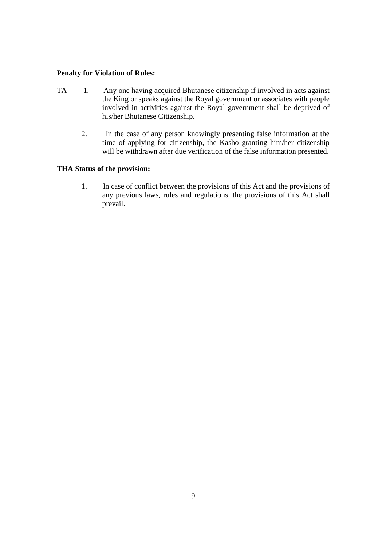#### **Penalty for Violation of Rules:**

- TA 1. Any one having acquired Bhutanese citizenship if involved in acts against the King or speaks against the Royal government or associates with people involved in activities against the Royal government shall be deprived of his/her Bhutanese Citizenship.
- 2. In the case of any person knowingly presenting false information at the time of applying for citizenship, the Kasho granting him/her citizenship will be withdrawn after due verification of the false information presented.

#### **THA Status of the provision:**

 1. In case of conflict between the provisions of this Act and the provisions of any previous laws, rules and regulations, the provisions of this Act shall prevail.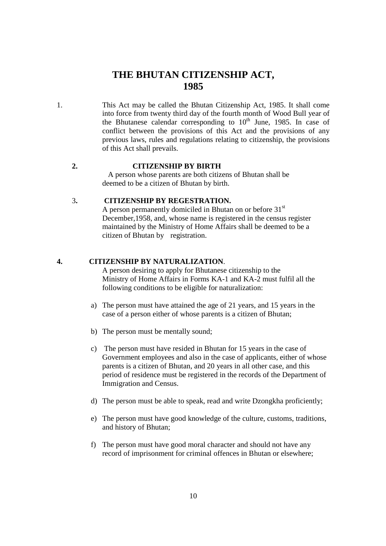# **THE BHUTAN CITIZENSHIP ACT, 1985**

1. This Act may be called the Bhutan Citizenship Act, 1985. It shall come into force from twenty third day of the fourth month of Wood Bull year of the Bhutanese calendar corresponding to  $10<sup>th</sup>$  June, 1985. In case of conflict between the provisions of this Act and the provisions of any previous laws, rules and regulations relating to citizenship, the provisions of this Act shall prevails.

#### **2. CITIZENSHIP BY BIRTH**

 A person whose parents are both citizens of Bhutan shall be deemed to be a citizen of Bhutan by birth.

#### 3**. CITIZENSHIP BY REGESTRATION.**

A person permanently domiciled in Bhutan on or before 31<sup>st</sup> December,1958, and, whose name is registered in the census register maintained by the Ministry of Home Affairs shall be deemed to be a citizen of Bhutan by registration.

#### **4. CITIZENSHIP BY NATURALIZATION**.

 A person desiring to apply for Bhutanese citizenship to the Ministry of Home Affairs in Forms KA-1 and KA-2 must fulfil all the following conditions to be eligible for naturalization:

- a) The person must have attained the age of 21 years, and 15 years in the case of a person either of whose parents is a citizen of Bhutan;
- b) The person must be mentally sound;
- c) The person must have resided in Bhutan for 15 years in the case of Government employees and also in the case of applicants, either of whose parents is a citizen of Bhutan, and 20 years in all other case, and this period of residence must be registered in the records of the Department of Immigration and Census.
- d) The person must be able to speak, read and write Dzongkha proficiently;
- e) The person must have good knowledge of the culture, customs, traditions, and history of Bhutan;
- f) The person must have good moral character and should not have any record of imprisonment for criminal offences in Bhutan or elsewhere;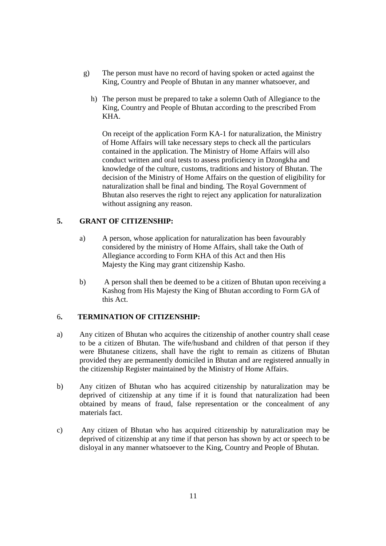- g) The person must have no record of having spoken or acted against the King, Country and People of Bhutan in any manner whatsoever, and
	- h) The person must be prepared to take a solemn Oath of Allegiance to the King, Country and People of Bhutan according to the prescribed From KHA.

 On receipt of the application Form KA-1 for naturalization, the Ministry of Home Affairs will take necessary steps to check all the particulars contained in the application. The Ministry of Home Affairs will also conduct written and oral tests to assess proficiency in Dzongkha and knowledge of the culture, customs, traditions and history of Bhutan. The decision of the Ministry of Home Affairs on the question of eligibility for naturalization shall be final and binding. The Royal Government of Bhutan also reserves the right to reject any application for naturalization without assigning any reason.

#### **5. GRANT OF CITIZENSHIP:**

- a) A person, whose application for naturalization has been favourably considered by the ministry of Home Affairs, shall take the Oath of Allegiance according to Form KHA of this Act and then His Majesty the King may grant citizenship Kasho.
- b) A person shall then be deemed to be a citizen of Bhutan upon receiving a Kashog from His Majesty the King of Bhutan according to Form GA of this Act.

#### 6**. TERMINATION OF CITIZENSHIP:**

- a) Any citizen of Bhutan who acquires the citizenship of another country shall cease to be a citizen of Bhutan. The wife/husband and children of that person if they were Bhutanese citizens, shall have the right to remain as citizens of Bhutan provided they are permanently domiciled in Bhutan and are registered annually in the citizenship Register maintained by the Ministry of Home Affairs.
- b) Any citizen of Bhutan who has acquired citizenship by naturalization may be deprived of citizenship at any time if it is found that naturalization had been obtained by means of fraud, false representation or the concealment of any materials fact.
- c) Any citizen of Bhutan who has acquired citizenship by naturalization may be deprived of citizenship at any time if that person has shown by act or speech to be disloyal in any manner whatsoever to the King, Country and People of Bhutan.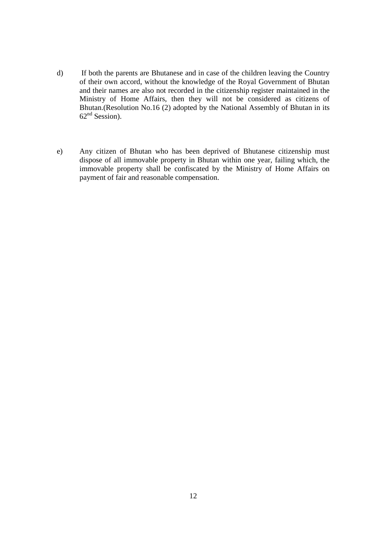- d) If both the parents are Bhutanese and in case of the children leaving the Country of their own accord, without the knowledge of the Royal Government of Bhutan and their names are also not recorded in the citizenship register maintained in the Ministry of Home Affairs, then they will not be considered as citizens of Bhutan.(Resolution No.16 (2) adopted by the National Assembly of Bhutan in its  $62<sup>nd</sup>$  Session).
- e) Any citizen of Bhutan who has been deprived of Bhutanese citizenship must dispose of all immovable property in Bhutan within one year, failing which, the immovable property shall be confiscated by the Ministry of Home Affairs on payment of fair and reasonable compensation.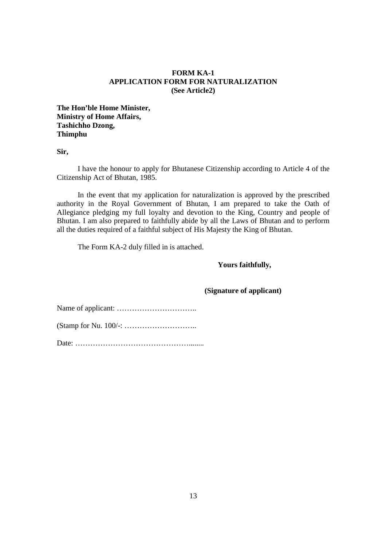#### **FORM KA-1 APPLICATION FORM FOR NATURALIZATION (See Article2)**

**The Hon'ble Home Minister, Ministry of Home Affairs, Tashichho Dzong, Thimphu** 

**Sir,** 

 I have the honour to apply for Bhutanese Citizenship according to Article 4 of the Citizenship Act of Bhutan, 1985.

 In the event that my application for naturalization is approved by the prescribed authority in the Royal Government of Bhutan, I am prepared to take the Oath of Allegiance pledging my full loyalty and devotion to the King, Country and people of Bhutan. I am also prepared to faithfully abide by all the Laws of Bhutan and to perform all the duties required of a faithful subject of His Majesty the King of Bhutan.

The Form KA-2 duly filled in is attached.

#### **Yours faithfully,**

 **(Signature of applicant)**

Name of applicant: …………………………..

(Stamp for Nu. 100/-: ………………………..

Date: ………………………………………........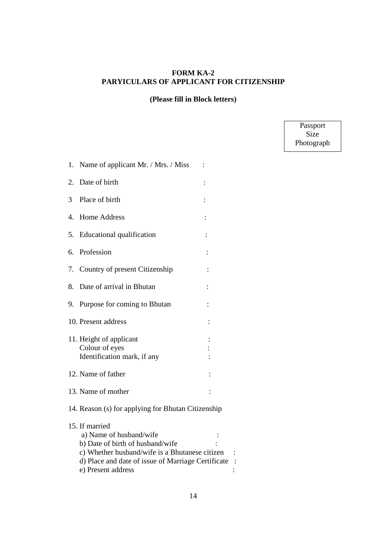#### **FORM KA-2 PARYICULARS OF APPLICANT FOR CITIZENSHIP**

#### **(Please fill in Block letters)**

Passport Size Photograph

| 1. | Name of applicant Mr. / Mrs. / Miss                                                                                                                                                                         |                |  |
|----|-------------------------------------------------------------------------------------------------------------------------------------------------------------------------------------------------------------|----------------|--|
| 2. | Date of birth                                                                                                                                                                                               |                |  |
| 3  | Place of birth                                                                                                                                                                                              |                |  |
| 4. | <b>Home Address</b>                                                                                                                                                                                         |                |  |
| 5. | Educational qualification                                                                                                                                                                                   |                |  |
| 6. | Profession                                                                                                                                                                                                  | $\ddot{\cdot}$ |  |
| 7. | Country of present Citizenship                                                                                                                                                                              |                |  |
| 8. | Date of arrival in Bhutan                                                                                                                                                                                   |                |  |
| 9. | Purpose for coming to Bhutan                                                                                                                                                                                |                |  |
|    | 10. Present address                                                                                                                                                                                         |                |  |
|    | 11. Height of applicant<br>Colour of eyes<br>Identification mark, if any                                                                                                                                    |                |  |
|    | 12. Name of father                                                                                                                                                                                          |                |  |
|    | 13. Name of mother                                                                                                                                                                                          |                |  |
|    | 14. Reason (s) for applying for Bhutan Citizenship                                                                                                                                                          |                |  |
|    | 15. If married<br>a) Name of husband/wife<br>b) Date of birth of husband/wife<br>c) Whether husband/wife is a Bhutanese citizen<br>d) Place and date of issue of Marriage Certificate<br>e) Present address |                |  |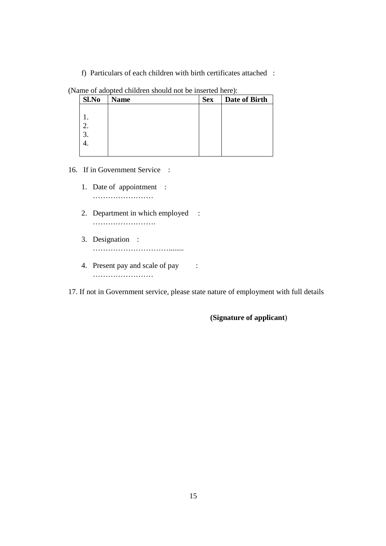f) Particulars of each children with birth certificates attached :

| Sl.No | $\overline{\phantom{a}}$<br><b>Name</b> | <b>Sex</b> | Date of Birth |
|-------|-----------------------------------------|------------|---------------|
|       |                                         |            |               |
|       |                                         |            |               |
|       |                                         |            |               |
| .,    |                                         |            |               |
|       |                                         |            |               |
|       |                                         |            |               |

#### (Name of adopted children should not be inserted here):

16. If in Government Service :

- 1. Date of appointment : …………………………
- 2. Department in which employed : …………………….
- 3. Designation : …………………………........
- 4. Present pay and scale of pay : …………………………

17. If not in Government service, please state nature of employment with full details

**(Signature of applicant**)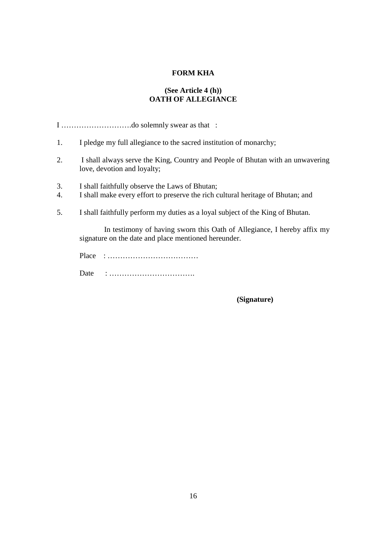#### **FORM KHA**

#### **(See Article 4 (h)) OATH OF ALLEGIANCE**

I ……………………….do solemnly swear as that :

- 1. I pledge my full allegiance to the sacred institution of monarchy;
- 2. I shall always serve the King, Country and People of Bhutan with an unwavering love, devotion and loyalty;
- 3. I shall faithfully observe the Laws of Bhutan;
- 4. I shall make every effort to preserve the rich cultural heritage of Bhutan; and
- 5. I shall faithfully perform my duties as a loyal subject of the King of Bhutan.

 In testimony of having sworn this Oath of Allegiance, I hereby affix my signature on the date and place mentioned hereunder.

Place : ………………………………

Date : …………………………….

 **(Signature)**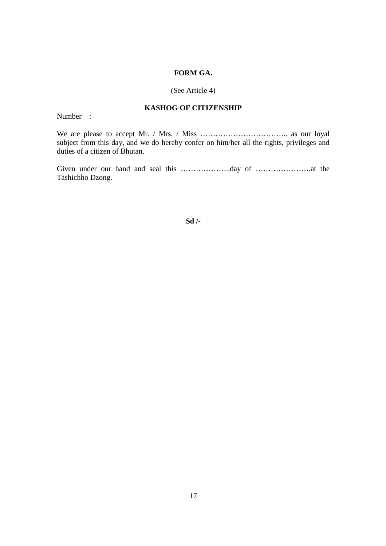#### **FORM GA.**

#### (See Article 4)

#### **KASHOG OF CITIZENSHIP**

Number :

We are please to accept Mr. / Mrs. / Miss …………………………….. as our loyal subject from this day, and we do hereby confer on him/her all the rights, privileges and duties of a citizen of Bhutan.

Given under our hand and seal this ………………..day of ………………….at the Tashichho Dzong.

**Sd /-**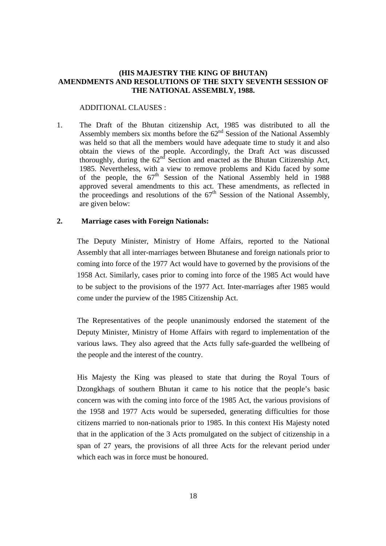#### **(HIS MAJESTRY THE KING OF BHUTAN) AMENDMENTS AND RESOLUTIONS OF THE SIXTY SEVENTH SESSION OF THE NATIONAL ASSEMBLY, 1988.**

#### ADDITIONAL CLAUSES :

1. The Draft of the Bhutan citizenship Act, 1985 was distributed to all the Assembly members six months before the  $62<sup>nd</sup>$  Session of the National Assembly was held so that all the members would have adequate time to study it and also obtain the views of the people. Accordingly, the Draft Act was discussed thoroughly, during the  $62<sup>nd</sup>$  Section and enacted as the Bhutan Citizenship Act, 1985. Nevertheless, with a view to remove problems and Kidu faced by some of the people, the  $67<sup>th</sup>$  Session of the National Assembly held in 1988 approved several amendments to this act. These amendments, as reflected in the proceedings and resolutions of the  $67<sup>th</sup>$  Session of the National Assembly, are given below:

#### **2. Marriage cases with Foreign Nationals:**

 The Deputy Minister, Ministry of Home Affairs, reported to the National Assembly that all inter-marriages between Bhutanese and foreign nationals prior to coming into force of the 1977 Act would have to governed by the provisions of the 1958 Act. Similarly, cases prior to coming into force of the 1985 Act would have to be subject to the provisions of the 1977 Act. Inter-marriages after 1985 would come under the purview of the 1985 Citizenship Act.

 The Representatives of the people unanimously endorsed the statement of the Deputy Minister, Ministry of Home Affairs with regard to implementation of the various laws. They also agreed that the Acts fully safe-guarded the wellbeing of the people and the interest of the country.

 His Majesty the King was pleased to state that during the Royal Tours of Dzongkhags of southern Bhutan it came to his notice that the people's basic concern was with the coming into force of the 1985 Act, the various provisions of the 1958 and 1977 Acts would be superseded, generating difficulties for those citizens married to non-nationals prior to 1985. In this context His Majesty noted that in the application of the 3 Acts promulgated on the subject of citizenship in a span of 27 years, the provisions of all three Acts for the relevant period under which each was in force must be honoured.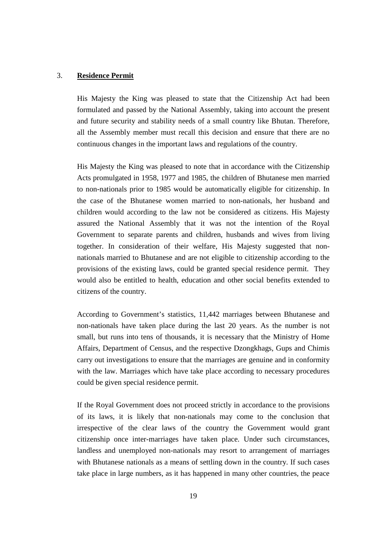#### 3. **Residence Permit**

 His Majesty the King was pleased to state that the Citizenship Act had been formulated and passed by the National Assembly, taking into account the present and future security and stability needs of a small country like Bhutan. Therefore, all the Assembly member must recall this decision and ensure that there are no continuous changes in the important laws and regulations of the country.

 His Majesty the King was pleased to note that in accordance with the Citizenship Acts promulgated in 1958, 1977 and 1985, the children of Bhutanese men married to non-nationals prior to 1985 would be automatically eligible for citizenship. In the case of the Bhutanese women married to non-nationals, her husband and children would according to the law not be considered as citizens. His Majesty assured the National Assembly that it was not the intention of the Royal Government to separate parents and children, husbands and wives from living together. In consideration of their welfare, His Majesty suggested that nonnationals married to Bhutanese and are not eligible to citizenship according to the provisions of the existing laws, could be granted special residence permit. They would also be entitled to health, education and other social benefits extended to citizens of the country.

 According to Government's statistics, 11,442 marriages between Bhutanese and non-nationals have taken place during the last 20 years. As the number is not small, but runs into tens of thousands, it is necessary that the Ministry of Home Affairs, Department of Census, and the respective Dzongkhags, Gups and Chimis carry out investigations to ensure that the marriages are genuine and in conformity with the law. Marriages which have take place according to necessary procedures could be given special residence permit.

 If the Royal Government does not proceed strictly in accordance to the provisions of its laws, it is likely that non-nationals may come to the conclusion that irrespective of the clear laws of the country the Government would grant citizenship once inter-marriages have taken place. Under such circumstances, landless and unemployed non-nationals may resort to arrangement of marriages with Bhutanese nationals as a means of settling down in the country. If such cases take place in large numbers, as it has happened in many other countries, the peace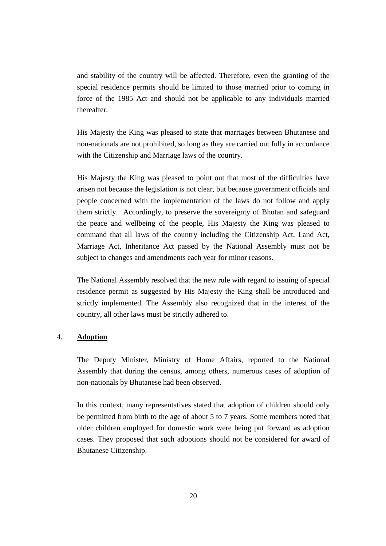and stability of the country will be affected. Therefore, even the granting of the special residence permits should be limited to those married prior to coming in force of the 1985 Act and should not be applicable to any individuals married thereafter.

 His Majesty the King was pleased to state that marriages between Bhutanese and non-nationals are not prohibited, so long as they are carried out fully in accordance with the Citizenship and Marriage laws of the country.

 His Majesty the King was pleased to point out that most of the difficulties have arisen not because the legislation is not clear, but because government officials and people concerned with the implementation of the laws do not follow and apply them strictly. Accordingly, to preserve the sovereignty of Bhutan and safeguard the peace and wellbeing of the people, His Majesty the King was pleased to command that all laws of the country including the Citizenship Act, Land Act, Marriage Act, Inheritance Act passed by the National Assembly must not be subject to changes and amendments each year for minor reasons.

 The National Assembly resolved that the new rule with regard to issuing of special residence permit as suggested by His Majesty the King shall be introduced and strictly implemented. The Assembly also recognized that in the interest of the country, all other laws must be strictly adhered to.

#### 4. **Adoption**

 The Deputy Minister, Ministry of Home Affairs, reported to the National Assembly that during the census, among others, numerous cases of adoption of non-nationals by Bhutanese had been observed.

 In this context, many representatives stated that adoption of children should only be permitted from birth to the age of about 5 to 7 years. Some members noted that older children employed for domestic work were being put forward as adoption cases. They proposed that such adoptions should not be considered for award of Bhutanese Citizenship.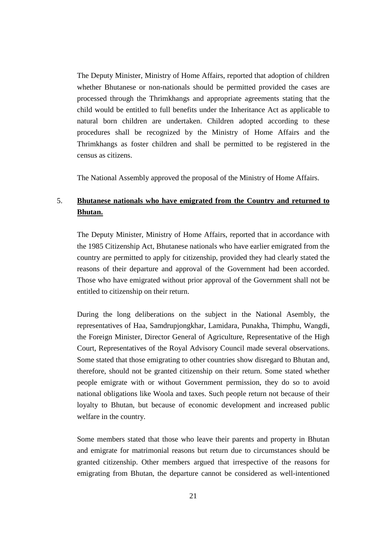The Deputy Minister, Ministry of Home Affairs, reported that adoption of children whether Bhutanese or non-nationals should be permitted provided the cases are processed through the Thrimkhangs and appropriate agreements stating that the child would be entitled to full benefits under the Inheritance Act as applicable to natural born children are undertaken. Children adopted according to these procedures shall be recognized by the Ministry of Home Affairs and the Thrimkhangs as foster children and shall be permitted to be registered in the census as citizens.

The National Assembly approved the proposal of the Ministry of Home Affairs.

## 5. **Bhutanese nationals who have emigrated from the Country and returned to Bhutan.**

 The Deputy Minister, Ministry of Home Affairs, reported that in accordance with the 1985 Citizenship Act, Bhutanese nationals who have earlier emigrated from the country are permitted to apply for citizenship, provided they had clearly stated the reasons of their departure and approval of the Government had been accorded. Those who have emigrated without prior approval of the Government shall not be entitled to citizenship on their return.

 During the long deliberations on the subject in the National Asembly, the representatives of Haa, Samdrupjongkhar, Lamidara, Punakha, Thimphu, Wangdi, the Foreign Minister, Director General of Agriculture, Representative of the High Court, Representatives of the Royal Advisory Council made several observations. Some stated that those emigrating to other countries show disregard to Bhutan and, therefore, should not be granted citizenship on their return. Some stated whether people emigrate with or without Government permission, they do so to avoid national obligations like Woola and taxes. Such people return not because of their loyalty to Bhutan, but because of economic development and increased public welfare in the country.

 Some members stated that those who leave their parents and property in Bhutan and emigrate for matrimonial reasons but return due to circumstances should be granted citizenship. Other members argued that irrespective of the reasons for emigrating from Bhutan, the departure cannot be considered as well-intentioned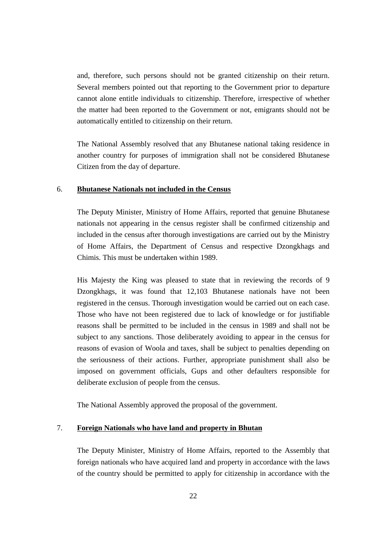and, therefore, such persons should not be granted citizenship on their return. Several members pointed out that reporting to the Government prior to departure cannot alone entitle individuals to citizenship. Therefore, irrespective of whether the matter had been reported to the Government or not, emigrants should not be automatically entitled to citizenship on their return.

 The National Assembly resolved that any Bhutanese national taking residence in another country for purposes of immigration shall not be considered Bhutanese Citizen from the day of departure.

#### 6. **Bhutanese Nationals not included in the Census**

 The Deputy Minister, Ministry of Home Affairs, reported that genuine Bhutanese nationals not appearing in the census register shall be confirmed citizenship and included in the census after thorough investigations are carried out by the Ministry of Home Affairs, the Department of Census and respective Dzongkhags and Chimis. This must be undertaken within 1989.

 His Majesty the King was pleased to state that in reviewing the records of 9 Dzongkhags, it was found that 12,103 Bhutanese nationals have not been registered in the census. Thorough investigation would be carried out on each case. Those who have not been registered due to lack of knowledge or for justifiable reasons shall be permitted to be included in the census in 1989 and shall not be subject to any sanctions. Those deliberately avoiding to appear in the census for reasons of evasion of Woola and taxes, shall be subject to penalties depending on the seriousness of their actions. Further, appropriate punishment shall also be imposed on government officials, Gups and other defaulters responsible for deliberate exclusion of people from the census.

The National Assembly approved the proposal of the government.

#### 7. **Foreign Nationals who have land and property in Bhutan**

 The Deputy Minister, Ministry of Home Affairs, reported to the Assembly that foreign nationals who have acquired land and property in accordance with the laws of the country should be permitted to apply for citizenship in accordance with the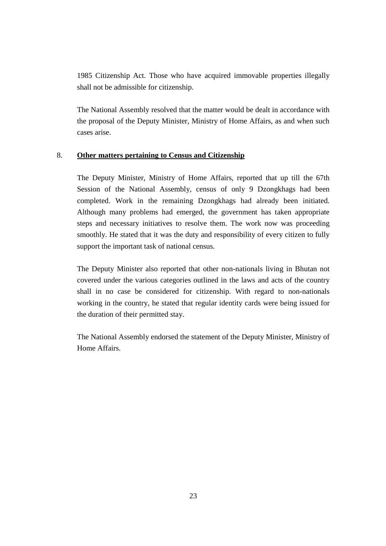1985 Citizenship Act. Those who have acquired immovable properties illegally shall not be admissible for citizenship.

 The National Assembly resolved that the matter would be dealt in accordance with the proposal of the Deputy Minister, Ministry of Home Affairs, as and when such cases arise.

#### 8. **Other matters pertaining to Census and Citizenship**

 The Deputy Minister, Ministry of Home Affairs, reported that up till the 67th Session of the National Assembly, census of only 9 Dzongkhags had been completed. Work in the remaining Dzongkhags had already been initiated. Although many problems had emerged, the government has taken appropriate steps and necessary initiatives to resolve them. The work now was proceeding smoothly. He stated that it was the duty and responsibility of every citizen to fully support the important task of national census.

 The Deputy Minister also reported that other non-nationals living in Bhutan not covered under the various categories outlined in the laws and acts of the country shall in no case be considered for citizenship. With regard to non-nationals working in the country, he stated that regular identity cards were being issued for the duration of their permitted stay.

 The National Assembly endorsed the statement of the Deputy Minister, Ministry of Home Affairs.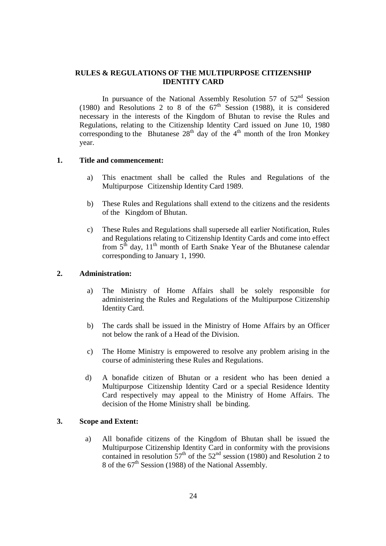#### **RULES & REGULATIONS OF THE MULTIPURPOSE CITIZENSHIP IDENTITY CARD**

In pursuance of the National Assembly Resolution 57 of 52<sup>nd</sup> Session (1980) and Resolutions 2 to 8 of the  $67<sup>th</sup>$  Session (1988), it is considered necessary in the interests of the Kingdom of Bhutan to revise the Rules and Regulations, relating to the Citizenship Identity Card issued on June 10, 1980 corresponding to the Bhutanese  $28<sup>th</sup>$  day of the 4<sup>th</sup> month of the Iron Monkey year.

#### **1. Title and commencement:**

- a) This enactment shall be called the Rules and Regulations of the Multipurpose Citizenship Identity Card 1989.
- b) These Rules and Regulations shall extend to the citizens and the residents of the Kingdom of Bhutan.
- c) These Rules and Regulations shall supersede all earlier Notification, Rules and Regulations relating to Citizenship Identity Cards and come into effect from  $5<sup>th</sup>$  day,  $11<sup>th</sup>$  month of Earth Snake Year of the Bhutanese calendar corresponding to January 1, 1990.

#### **2. Administration:**

- a) The Ministry of Home Affairs shall be solely responsible for administering the Rules and Regulations of the Multipurpose Citizenship Identity Card.
- b) The cards shall be issued in the Ministry of Home Affairs by an Officer not below the rank of a Head of the Division.
- c) The Home Ministry is empowered to resolve any problem arising in the course of administering these Rules and Regulations.
- d) A bonafide citizen of Bhutan or a resident who has been denied a Multipurpose Citizenship Identity Card or a special Residence Identity Card respectively may appeal to the Ministry of Home Affairs. The decision of the Home Ministry shall be binding.

#### **3. Scope and Extent:**

 a) All bonafide citizens of the Kingdom of Bhutan shall be issued the Multipurpose Citizenship Identity Card in conformity with the provisions contained in resolution  $57<sup>th</sup>$  of the  $52<sup>nd</sup>$  session (1980) and Resolution 2 to 8 of the  $67<sup>th</sup>$  Session (1988) of the National Assembly.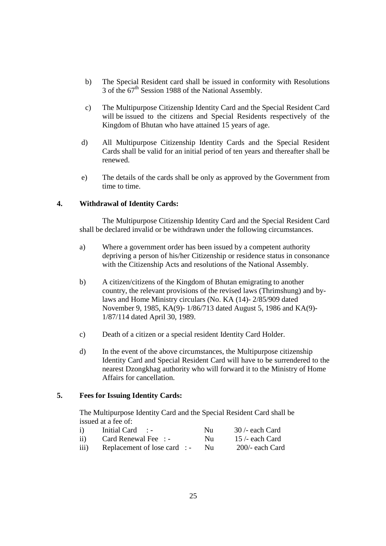- b) The Special Resident card shall be issued in conformity with Resolutions 3 of the  $67<sup>th</sup>$  Session 1988 of the National Assembly.
- c) The Multipurpose Citizenship Identity Card and the Special Resident Card will be issued to the citizens and Special Residents respectively of the Kingdom of Bhutan who have attained 15 years of age.
- d) All Multipurpose Citizenship Identity Cards and the Special Resident Cards shall be valid for an initial period of ten years and thereafter shall be renewed.
- e) The details of the cards shall be only as approved by the Government from time to time.

#### **4. Withdrawal of Identity Cards:**

 The Multipurpose Citizenship Identity Card and the Special Resident Card shall be declared invalid or be withdrawn under the following circumstances.

- a) Where a government order has been issued by a competent authority depriving a person of his/her Citizenship or residence status in consonance with the Citizenship Acts and resolutions of the National Assembly.
- b) A citizen/citizens of the Kingdom of Bhutan emigrating to another country, the relevant provisions of the revised laws (Thrimshung) and by laws and Home Ministry circulars (No. KA (14)- 2/85/909 dated November 9, 1985, KA(9)- 1/86/713 dated August 5, 1986 and KA(9)- 1/87/114 dated April 30, 1989.
- c) Death of a citizen or a special resident Identity Card Holder.
- d) In the event of the above circumstances, the Multipurpose citizenship Identity Card and Special Resident Card will have to be surrendered to the nearest Dzongkhag authority who will forward it to the Ministry of Home Affairs for cancellation.

#### **5. Fees for Issuing Identity Cards:**

 The Multipurpose Identity Card and the Special Resident Card shall be issued at a fee of:

| $\mathbf{i}$ | Initial Card $\;\;$ :        | Nu.      | $30$ /- each Card |
|--------------|------------------------------|----------|-------------------|
| $\rm ii)$    | Card Renewal Fee: -          | $N_{11}$ | $15$ /- each Card |
| iii)         | Replacement of lose card : - | $N_{11}$ | $200$ - each Card |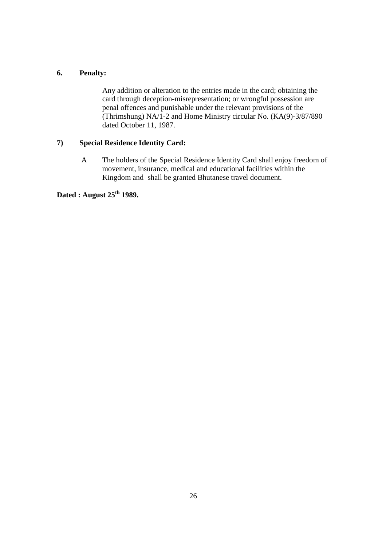#### **6. Penalty:**

 Any addition or alteration to the entries made in the card; obtaining the card through deception-misrepresentation; or wrongful possession are penal offences and punishable under the relevant provisions of the (Thrimshung) NA/1-2 and Home Ministry circular No. (KA(9)-3/87/890 dated October 11, 1987.

#### **7) Special Residence Identity Card:**

 A The holders of the Special Residence Identity Card shall enjoy freedom of movement, insurance, medical and educational facilities within the Kingdom and shall be granted Bhutanese travel document.

**Dated : August 25th 1989.**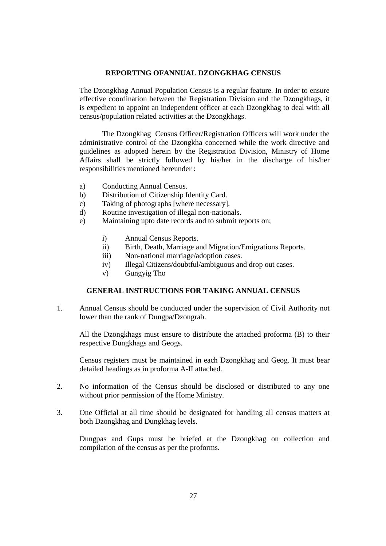#### **REPORTING OFANNUAL DZONGKHAG CENSUS**

 The Dzongkhag Annual Population Census is a regular feature. In order to ensure effective coordination between the Registration Division and the Dzongkhags, it is expedient to appoint an independent officer at each Dzongkhag to deal with all census/population related activities at the Dzongkhags.

 The Dzongkhag Census Officer/Registration Officers will work under the administrative control of the Dzongkha concerned while the work directive and guidelines as adopted herein by the Registration Division, Ministry of Home Affairs shall be strictly followed by his/her in the discharge of his/her responsibilities mentioned hereunder :

- a) Conducting Annual Census.
- b) Distribution of Citizenship Identity Card.
- c) Taking of photographs [where necessary].
- d) Routine investigation of illegal non-nationals.
- e) Maintaining upto date records and to submit reports on;
	- i) Annual Census Reports.
	- ii) Birth, Death, Marriage and Migration/Emigrations Reports.
	- iii) Non-national marriage/adoption cases.
	- iv) Illegal Citizens/doubtful/ambiguous and drop out cases.
	- v) Gungyig Tho

#### **GENERAL INSTRUCTIONS FOR TAKING ANNUAL CENSUS**

1. Annual Census should be conducted under the supervision of Civil Authority not lower than the rank of Dungpa/Dzongrab.

 All the Dzongkhags must ensure to distribute the attached proforma (B) to their respective Dungkhags and Geogs.

 Census registers must be maintained in each Dzongkhag and Geog. It must bear detailed headings as in proforma A-II attached.

- 2. No information of the Census should be disclosed or distributed to any one without prior permission of the Home Ministry.
- 3. One Official at all time should be designated for handling all census matters at both Dzongkhag and Dungkhag levels.

 Dungpas and Gups must be briefed at the Dzongkhag on collection and compilation of the census as per the proforms.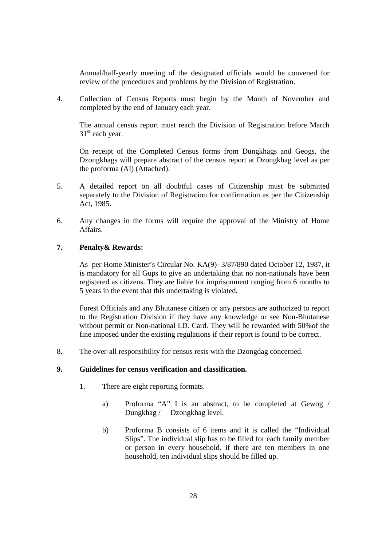Annual/half-yearly meeting of the designated officials would be convened for review of the procedures and problems by the Division of Registration.

4. Collection of Census Reports must begin by the Month of November and completed by the end of January each year.

 The annual census report must reach the Division of Registration before March 31<sup>st</sup> each year.

 On receipt of the Completed Census forms from Dungkhags and Geogs, the Dzongkhags will prepare abstract of the census report at Dzongkhag level as per the proforma (AI) (Attached).

- 5. A detailed report on all doubtful cases of Citizenship must be submitted separately to the Division of Registration for confirmation as per the Citizenship Act, 1985.
- 6. Any changes in the forms will require the approval of the Ministry of Home Affairs.

#### **7. Penalty& Rewards:**

 As per Home Minister's Circular No. KA(9)- 3/87/890 dated October 12, 1987, it is mandatory for all Gups to give an undertaking that no non-nationals have been registered as citizens. They are liable for imprisonment ranging from 6 months to 5 years in the event that this undertaking is violated.

 Forest Officials and any Bhutanese citizen or any persons are authorized to report to the Registration Division if they have any knowledge or see Non-Bhutanese without permit or Non-national I.D. Card. They will be rewarded with 50%of the fine imposed under the existing regulations if their report is found to be correct.

8. The over-all responsibility for census rests with the Dzongdag concerned.

#### **9. Guidelines for census verification and classification.**

- 1. There are eight reporting formats.
	- a) Proforma "A" I is an abstract, to be completed at Gewog / Dungkhag / Dzongkhag level.
	- b) Proforma B consists of 6 items and it is called the "Individual Slips". The individual slip has to be filled for each family member or person in every household. If there are ten members in one household, ten individual slips should be filled up.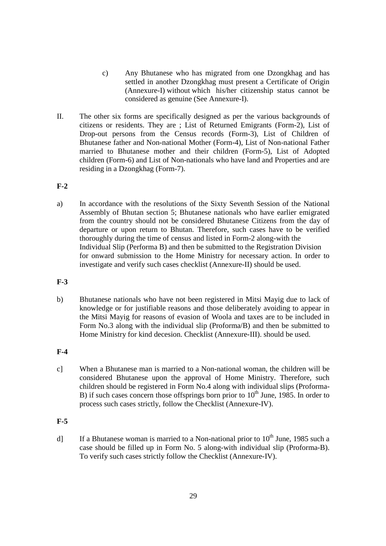- c) Any Bhutanese who has migrated from one Dzongkhag and has settled in another Dzongkhag must present a Certificate of Origin (Annexure-I) without which his/her citizenship status cannot be considered as genuine (See Annexure-I).
- II. The other six forms are specifically designed as per the various backgrounds of citizens or residents. They are ; List of Returned Emigrants (Form-2), List of Drop-out persons from the Census records (Form-3), List of Children of Bhutanese father and Non-national Mother (Form-4), List of Non-national Father married to Bhutanese mother and their children (Form-5), List of Adopted children (Form-6) and List of Non-nationals who have land and Properties and are residing in a Dzongkhag (Form-7).

#### **F-2**

a) In accordance with the resolutions of the Sixty Seventh Session of the National Assembly of Bhutan section 5; Bhutanese nationals who have earlier emigrated from the country should not be considered Bhutanese Citizens from the day of departure or upon return to Bhutan. Therefore, such cases have to be verified thoroughly during the time of census and listed in Form-2 along-with the Individual Slip (Performa B) and then be submitted to the Registration Division for onward submission to the Home Ministry for necessary action. In order to investigate and verify such cases checklist (Annexure-II) should be used.

#### **F-3**

b) Bhutanese nationals who have not been registered in Mitsi Mayig due to lack of knowledge or for justifiable reasons and those deliberately avoiding to appear in the Mitsi Mayig for reasons of evasion of Woola and taxes are to be included in Form No.3 along with the individual slip (Proforma/B) and then be submitted to Home Ministry for kind decesion. Checklist (Annexure-III). should be used.

#### **F-4**

c] When a Bhutanese man is married to a Non-national woman, the children will be considered Bhutanese upon the approval of Home Ministry. Therefore, such children should be registered in Form No.4 along with individual slips (Proforma-B) if such cases concern those offsprings born prior to  $10<sup>th</sup>$  June, 1985. In order to process such cases strictly, follow the Checklist (Annexure-IV).

#### **F-5**

d] If a Bhutanese woman is married to a Non-national prior to  $10^{th}$  June, 1985 such a case should be filled up in Form No. 5 along-with individual slip (Proforma-B). To verify such cases strictly follow the Checklist (Annexure-IV).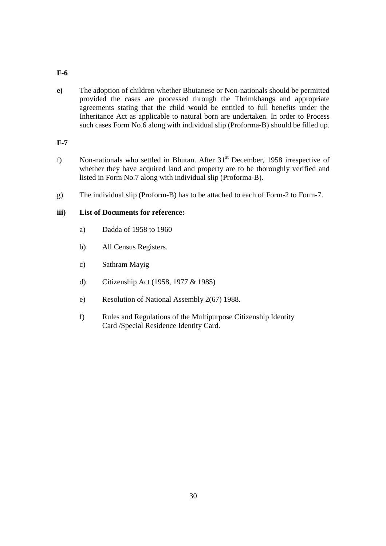#### **F-6**

**e)** The adoption of children whether Bhutanese or Non-nationals should be permitted provided the cases are processed through the Thrimkhangs and appropriate agreements stating that the child would be entitled to full benefits under the Inheritance Act as applicable to natural born are undertaken. In order to Process such cases Form No.6 along with individual slip (Proforma-B) should be filled up.

#### **F-7**

- f) Non-nationals who settled in Bhutan. After  $31<sup>st</sup>$  December, 1958 irrespective of whether they have acquired land and property are to be thoroughly verified and listed in Form No.7 along with individual slip (Proforma-B).
- g) The individual slip (Proform-B) has to be attached to each of Form-2 to Form-7.

#### **iii) List of Documents for reference:**

- a) Dadda of 1958 to 1960
- b) All Census Registers.
- c) Sathram Mayig
- d) Citizenship Act (1958, 1977 & 1985)
- e) Resolution of National Assembly 2(67) 1988.
- f) Rules and Regulations of the Multipurpose Citizenship Identity Card /Special Residence Identity Card.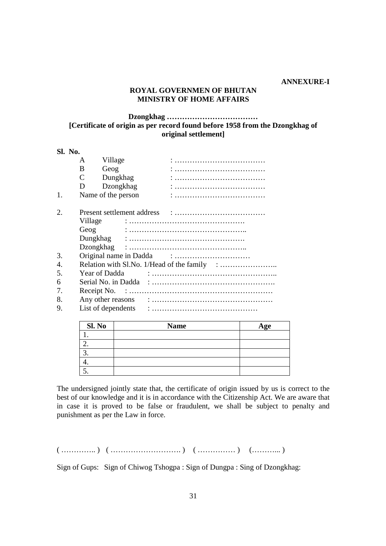#### **ANNEXURE-I**

#### **ROYAL GOVERNMEN OF BHUTAN MINISTRY OF HOME AFFAIRS**

#### **Dzongkhag ……………………………… [Certificate of origin as per record found before 1958 from the Dzongkhag of original settlement]**

**Sl. No.**  A Village : ……………………………… B Geog : ……………………………… C Dungkhag : ……………………………… D Dzongkhag : ……………………………… 1. Name of the person : ……………………………… 2. Present settlement address : ……………………………… Village : ………………………………………. Geog : ……………………………………….. Dungkhag : ………………………………………. Dzongkhag : ……………………………………….. 3. Original name in Dadda : ………………………… 4. Relation with Sl.No. 1/Head of the family : ................................. 5. Year of Dadda : ………………………………………….. 6 Serial No. in Dadda : …………………………………………. 7. Receipt No. : ………………………………………………… 8. Any other reasons : ………………………………………… 9. List of dependents : ……………………………………

| Sl. No | <b>Name</b> | Age |
|--------|-------------|-----|
|        |             |     |
|        |             |     |
|        |             |     |
|        |             |     |
|        |             |     |

The undersigned jointly state that, the certificate of origin issued by us is correct to the best of our knowledge and it is in accordance with the Citizenship Act. We are aware that in case it is proved to be false or fraudulent, we shall be subject to penalty and punishment as per the Law in force.

 $(\dots, \dots, \dots, \dots)$   $(\dots, \dots, \dots, \dots, \dots, \dots)$   $(\dots, \dots, \dots, \dots, \dots, \dots, \dots, \dots, \dots)$ 

Sign of Gups: Sign of Chiwog Tshogpa : Sign of Dungpa : Sing of Dzongkhag: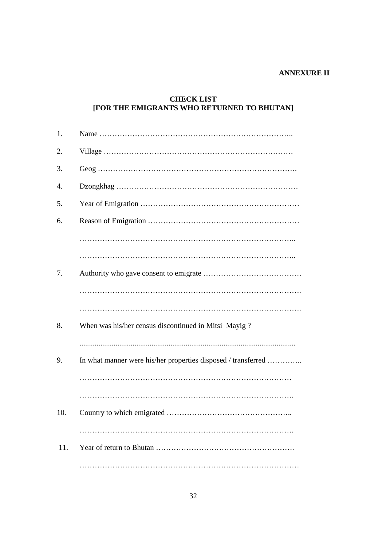#### **ANNEXURE II**

#### **CHECK LIST [FOR THE EMIGRANTS WHO RETURNED TO BHUTAN]**

| 1.  |                                                               |
|-----|---------------------------------------------------------------|
| 2.  |                                                               |
| 3.  |                                                               |
| 4.  |                                                               |
| 5.  |                                                               |
| 6.  |                                                               |
|     |                                                               |
|     |                                                               |
| 7.  |                                                               |
|     |                                                               |
| 8.  | When was his/her census discontinued in Mitsi Mayig?          |
| 9.  | In what manner were his/her properties disposed / transferred |
|     |                                                               |
| 10. |                                                               |
| 11. |                                                               |
|     |                                                               |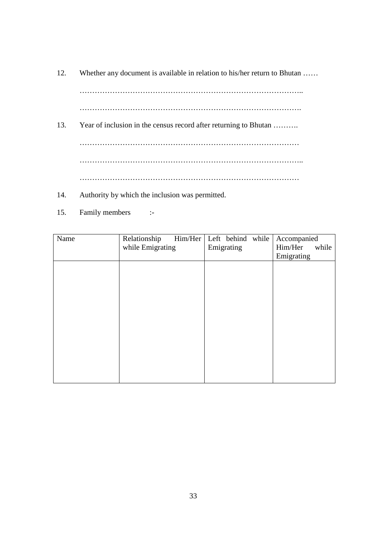12. Whether any document is available in relation to his/her return to Bhutan ……

 …………………………………………………………………………….. …………………………………………………………………………….

- 13. Year of inclusion in the census record after returning to Bhutan ………. …………………………………………………………………………… …………………………………………………………………………….. ……………………………………………………………………………
- 14. Authority by which the inclusion was permitted.
- 15. Family members :-

| Name | Relationship     | Him/Her Left behind while |            | Accompanied |       |
|------|------------------|---------------------------|------------|-------------|-------|
|      | while Emigrating |                           | Emigrating | Him/Her     | while |
|      |                  |                           |            | Emigrating  |       |
|      |                  |                           |            |             |       |
|      |                  |                           |            |             |       |
|      |                  |                           |            |             |       |
|      |                  |                           |            |             |       |
|      |                  |                           |            |             |       |
|      |                  |                           |            |             |       |
|      |                  |                           |            |             |       |
|      |                  |                           |            |             |       |
|      |                  |                           |            |             |       |
|      |                  |                           |            |             |       |
|      |                  |                           |            |             |       |
|      |                  |                           |            |             |       |
|      |                  |                           |            |             |       |
|      |                  |                           |            |             |       |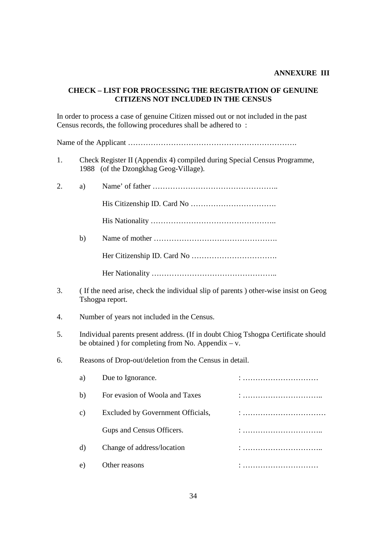#### **ANNEXURE III**

#### **CHECK – LIST FOR PROCESSING THE REGISTRATION OF GENUINE CITIZENS NOT INCLUDED IN THE CENSUS**

In order to process a case of genuine Citizen missed out or not included in the past Census records, the following procedures shall be adhered to :

Name of the Applicant ………………………………………………………….

- 1. Check Register II (Appendix 4) compiled during Special Census Programme, 1988 (of the Dzongkhag Geog-Village).
- 2. a) Name' of father ………………………………………….. His Citizenship ID. Card No ……………………………. His Nationality ………………………………………….. b) Name of mother …………………………………………. Her Citizenship ID. Card No ……………………………. Her Nationality …………………………………………..
- 3. ( If the need arise, check the individual slip of parents ) other-wise insist on Geog Tshogpa report.
- 4. Number of years not included in the Census.
- 5. Individual parents present address. (If in doubt Chiog Tshogpa Certificate should be obtained ) for completing from No. Appendix  $- v$ .
- 6. Reasons of Drop-out/deletion from the Census in detail.

| a) | Due to Ignorance.                 |   |
|----|-----------------------------------|---|
| b) | For evasion of Woola and Taxes    |   |
| C) | Excluded by Government Officials, |   |
|    | Gups and Census Officers.         | . |
| d) | Change of address/location        |   |
| e. | Other reasons                     |   |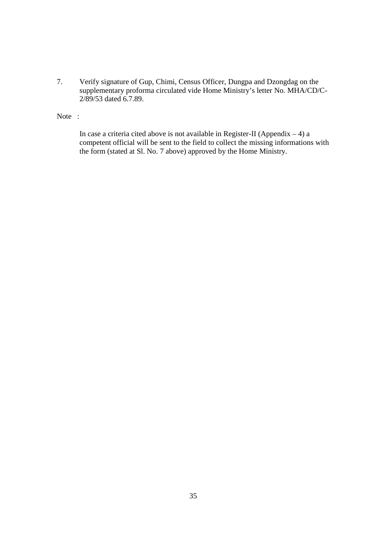7. Verify signature of Gup, Chimi, Census Officer, Dungpa and Dzongdag on the supplementary proforma circulated vide Home Ministry's letter No. MHA/CD/C- 2/89/53 dated 6.7.89.

Note :

In case a criteria cited above is not available in Register-II (Appendix  $-4$ ) a competent official will be sent to the field to collect the missing informations with the form (stated at Sl. No. 7 above) approved by the Home Ministry.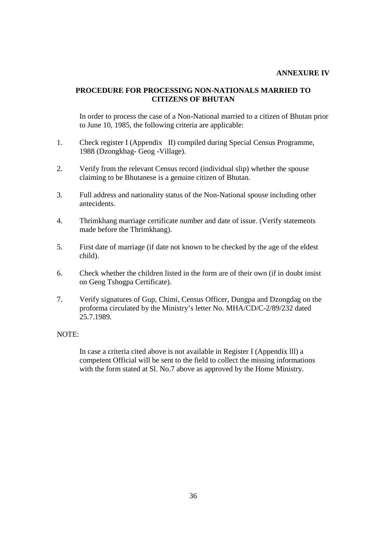#### **ANNEXURE IV**

#### **PROCEDURE FOR PROCESSING NON-NATIONALS MARRIED TO CITIZENS OF BHUTAN**

In order to process the case of a Non-National married to a citizen of Bhutan prior to June 10, 1985, the following criteria are applicable:

- 1. Check register I (Appendix II) compiled during Special Census Programme, 1988 (Dzongkhag- Geog -Village).
- 2. Verify from the relevant Census record (individual slip) whether the spouse claiming to be Bhutanese is a genuine citizen of Bhutan.
- 3. Full address and nationality status of the Non-National spouse including other antecidents.
- 4. Thrimkhang marriage certificate number and date of issue. (Verify statements made before the Thrimkhang).
- 5. First date of marriage (if date not known to be checked by the age of the eldest child).
- 6. Check whether the children listed in the form are of their own (if in doubt insist on Geog Tshogpa Certificate).
- 7. Verify signatures of Gup, Chimi, Census Officer, Dungpa and Dzongdag on the proforma circulated by the Ministry's letter No. MHA/CD/C-2/89/232 dated 25.7.1989.

#### NOTE:

 In case a criteria cited above is not available in Register I (Appendix lll) a competent Official will be sent to the field to collect the missing informations with the form stated at Sl. No.7 above as approved by the Home Ministry.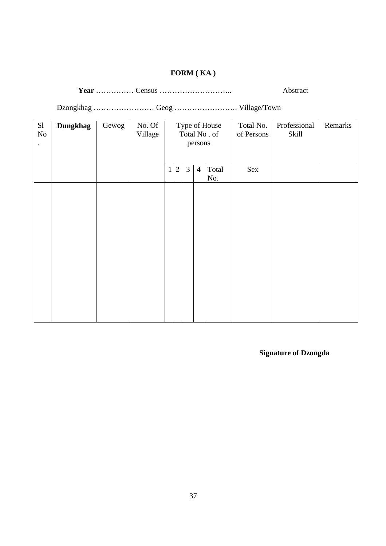# **FORM ( KA )**

**Year** …………… Census ……………………….. Abstract

Dzongkhag …………………… Geog ……………………. Village/Town

| S1<br>$\rm No$       | <b>Dungkhag</b> | Gewog | No. Of<br>Village |          |              |                |                | Type of House<br>Total No. of | Total No.<br>of Persons | Professional<br>Skill | Remarks |
|----------------------|-----------------|-------|-------------------|----------|--------------|----------------|----------------|-------------------------------|-------------------------|-----------------------|---------|
| $\ddot{\phantom{a}}$ |                 |       |                   |          |              |                | persons        |                               |                         |                       |         |
|                      |                 |       |                   |          |              |                |                |                               |                         |                       |         |
|                      |                 |       |                   | $1\vert$ | $\mathbf{2}$ | $\mathfrak{Z}$ | $\overline{4}$ | Total                         | Sex                     |                       |         |
|                      |                 |       |                   |          |              |                |                | No.                           |                         |                       |         |
|                      |                 |       |                   |          |              |                |                |                               |                         |                       |         |
|                      |                 |       |                   |          |              |                |                |                               |                         |                       |         |
|                      |                 |       |                   |          |              |                |                |                               |                         |                       |         |
|                      |                 |       |                   |          |              |                |                |                               |                         |                       |         |
|                      |                 |       |                   |          |              |                |                |                               |                         |                       |         |
|                      |                 |       |                   |          |              |                |                |                               |                         |                       |         |
|                      |                 |       |                   |          |              |                |                |                               |                         |                       |         |
|                      |                 |       |                   |          |              |                |                |                               |                         |                       |         |
|                      |                 |       |                   |          |              |                |                |                               |                         |                       |         |
|                      |                 |       |                   |          |              |                |                |                               |                         |                       |         |

**Signature of Dzongda**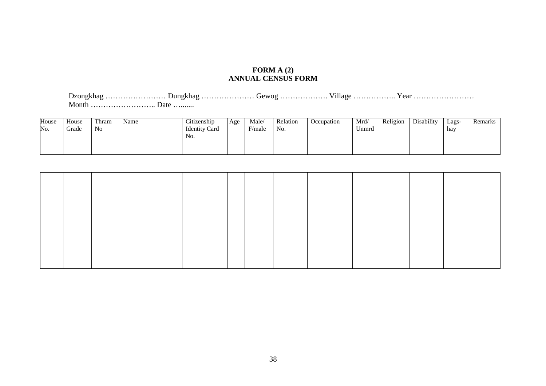#### **FORM A (2) ANNUAL CENSUS FORM**

Dzongkhag …………………… Dungkhag ………………… Gewog ………………. Village …………….. Year …………………… Month …………………….. Date ….......

| House | House | Thram          | Name | $\cdot$ $\cdot$<br>$\sim$<br>Citizenship | Age | Male/                              | Relation | Occupation | Mrd/  | Religion | Disability | Lags- | Remarks |
|-------|-------|----------------|------|------------------------------------------|-----|------------------------------------|----------|------------|-------|----------|------------|-------|---------|
| No.   | Grade | N <sub>0</sub> |      | <b>Identity Card</b>                     |     | $\overline{\phantom{a}}$<br>F/male | No.      |            | Unmrd |          |            | hay   |         |
|       |       |                |      | No.                                      |     |                                    |          |            |       |          |            |       |         |
|       |       |                |      |                                          |     |                                    |          |            |       |          |            |       |         |
|       |       |                |      |                                          |     |                                    |          |            |       |          |            |       |         |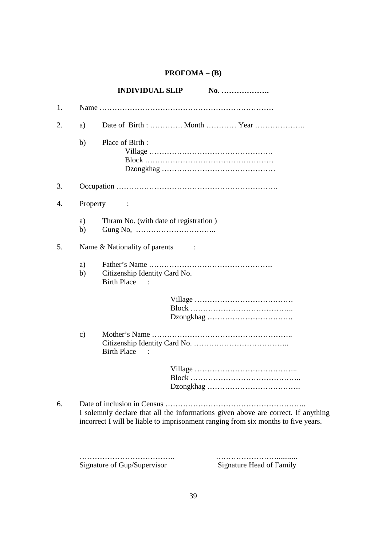# **PROFOMA – (B)**

|    |               | <b>INDIVIDUAL SLIP</b><br>No.                                                                                                                                          |
|----|---------------|------------------------------------------------------------------------------------------------------------------------------------------------------------------------|
| 1. |               |                                                                                                                                                                        |
| 2. | a)            |                                                                                                                                                                        |
|    | b)            | Place of Birth:                                                                                                                                                        |
| 3. |               |                                                                                                                                                                        |
| 4. | Property      | $\sim 100$                                                                                                                                                             |
|    | a)<br>b)      | Thram No. (with date of registration)                                                                                                                                  |
| 5. |               | Name & Nationality of parents                                                                                                                                          |
|    | a)<br>b)      | Citizenship Identity Card No.<br><b>Birth Place</b>                                                                                                                    |
|    |               |                                                                                                                                                                        |
|    | $\mathbf{c})$ | <b>Birth Place</b>                                                                                                                                                     |
|    |               |                                                                                                                                                                        |
| 6. |               | I solemnly declare that all the informations given above are correct. If anything<br>incorrect I will be liable to imprisonment ranging from six months to five years. |

Signature of Gup/Supervisor

……………………………….. ……………………...........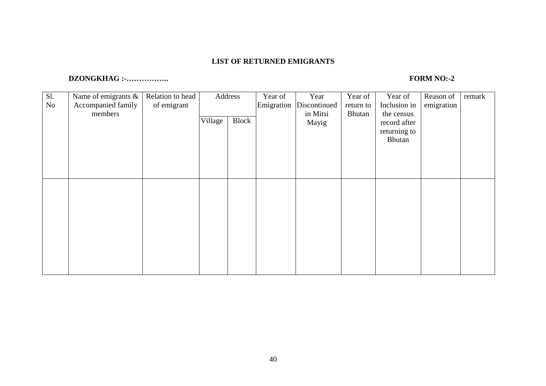#### **LIST OF RETURNED EMIGRANTS**

#### **DZONGKHAG :-…………….. FORM NO:-2**

| Sl.<br>No | Name of emigrants $\&$<br>Accompanied family<br>members | Relation to head<br>of emigrant |         | Address | Year of<br>Emigration | Year<br>Discontinued<br>in Mitsi | Year of<br>return to<br><b>Bhutan</b> | Year of<br>Inclusion in<br>the census | Reason of<br>emigration | remark |
|-----------|---------------------------------------------------------|---------------------------------|---------|---------|-----------------------|----------------------------------|---------------------------------------|---------------------------------------|-------------------------|--------|
|           |                                                         |                                 | Village | Block   |                       | Mayig                            |                                       | record after<br>returning to          |                         |        |
|           |                                                         |                                 |         |         |                       |                                  |                                       | Bhutan                                |                         |        |
|           |                                                         |                                 |         |         |                       |                                  |                                       |                                       |                         |        |
|           |                                                         |                                 |         |         |                       |                                  |                                       |                                       |                         |        |
|           |                                                         |                                 |         |         |                       |                                  |                                       |                                       |                         |        |
|           |                                                         |                                 |         |         |                       |                                  |                                       |                                       |                         |        |
|           |                                                         |                                 |         |         |                       |                                  |                                       |                                       |                         |        |
|           |                                                         |                                 |         |         |                       |                                  |                                       |                                       |                         |        |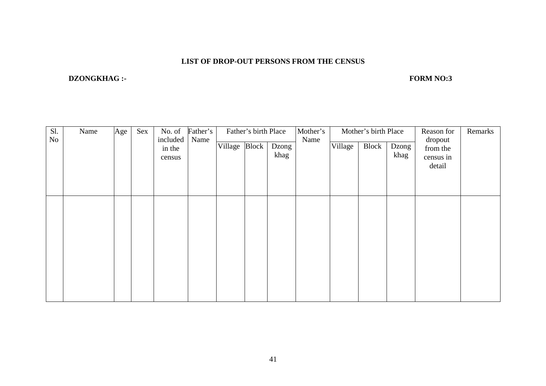#### **LIST OF DROP-OUT PERSONS FROM THE CENSUS**

#### **DZONGKHAG :-** FORM NO:3

| Sl.<br>No | Age<br>Sex<br>No. of<br>Name<br>included<br>Name |  | Father's         | Father's birth Place |               |  | Mother's<br>Mother's birth Place<br>Name |  |         |       | Reason for<br>dropout | Remarks                         |  |
|-----------|--------------------------------------------------|--|------------------|----------------------|---------------|--|------------------------------------------|--|---------|-------|-----------------------|---------------------------------|--|
|           |                                                  |  | in the<br>census |                      | Village Block |  | Dzong<br>khag                            |  | Village | Block | Dzong<br>khag         | from the<br>census in<br>detail |  |
|           |                                                  |  |                  |                      |               |  |                                          |  |         |       |                       |                                 |  |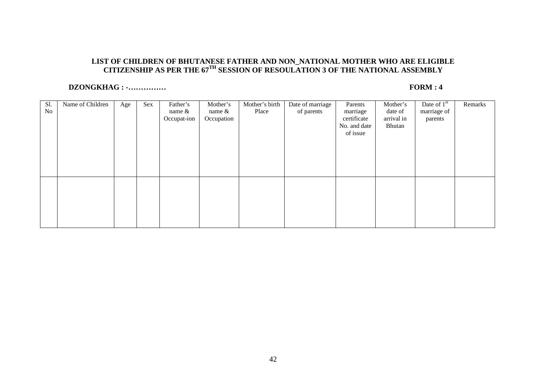# **LIST OF CHILDREN OF BHUTANESE FATHER AND NON\_NATIONAL MOTHER WHO ARE ELIGIBLE CITIZENSHIP AS PER THE 67TH SESSION OF RESOULATION 3 OF THE NATIONAL ASSEMBLY**

#### **DZONGKHAG : -…………… FORM : 4**

| Sl. | Name of Children | Age | Sex | Father's    | Mother's   | Mother's birth | Date of marriage | Parents      | Mother's   | Date of $1st$ | Remarks |
|-----|------------------|-----|-----|-------------|------------|----------------|------------------|--------------|------------|---------------|---------|
| No  |                  |     |     | name $&$    | name &     | Place          | of parents       | marriage     | date of    | marriage of   |         |
|     |                  |     |     | Occupat-ion | Occupation |                |                  | certificate  | arrival in | parents       |         |
|     |                  |     |     |             |            |                |                  | No. and date | Bhutan     |               |         |
|     |                  |     |     |             |            |                |                  | of issue     |            |               |         |
|     |                  |     |     |             |            |                |                  |              |            |               |         |
|     |                  |     |     |             |            |                |                  |              |            |               |         |
|     |                  |     |     |             |            |                |                  |              |            |               |         |
|     |                  |     |     |             |            |                |                  |              |            |               |         |
|     |                  |     |     |             |            |                |                  |              |            |               |         |
|     |                  |     |     |             |            |                |                  |              |            |               |         |
|     |                  |     |     |             |            |                |                  |              |            |               |         |
|     |                  |     |     |             |            |                |                  |              |            |               |         |
|     |                  |     |     |             |            |                |                  |              |            |               |         |
|     |                  |     |     |             |            |                |                  |              |            |               |         |
|     |                  |     |     |             |            |                |                  |              |            |               |         |
|     |                  |     |     |             |            |                |                  |              |            |               |         |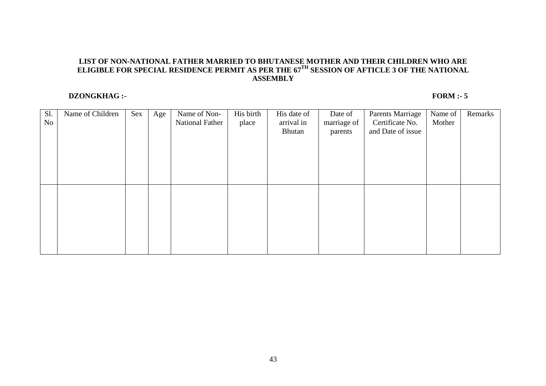# **LIST OF NON-NATIONAL FATHER MARRIED TO BHUTANESE MOTHER AND THEIR CHILDREN WHO ARE ELIGIBLE FOR SPECIAL RESIDENCE PERMIT AS PER THE 67TH SESSION OF AFTICLE 3 OF THE NATIONAL ASSEMBLY**

#### **DZONGKHAG :-** FORM :- 5

| Sl.<br>N <sub>o</sub> | Name of Children | Sex | Age | Name of Non-<br>National Father | His birth<br>place | His date of<br>arrival in<br>Bhutan | Date of<br>marriage of<br>parents | <b>Parents Marriage</b><br>Certificate No.<br>and Date of issue | Name of<br>Mother | Remarks |
|-----------------------|------------------|-----|-----|---------------------------------|--------------------|-------------------------------------|-----------------------------------|-----------------------------------------------------------------|-------------------|---------|
|                       |                  |     |     |                                 |                    |                                     |                                   |                                                                 |                   |         |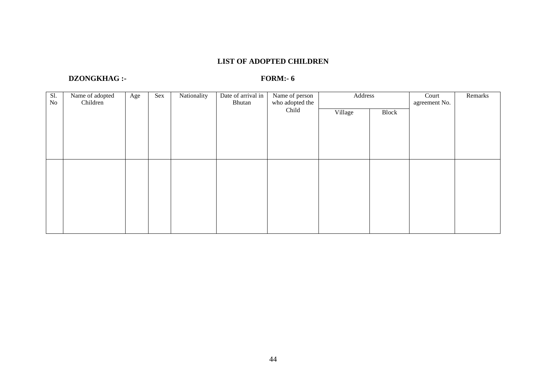#### **LIST OF ADOPTED CHILDREN**

#### **DZONGKHAG :-** FORM:- 6

| Sl.<br>No | Name of adopted<br>Nationality<br>Sex<br>Age<br>Children |  | Date of arrival in<br>Bhutan | Name of person<br>who adopted the | Address |         | Court<br>agreement No. | Remarks |  |
|-----------|----------------------------------------------------------|--|------------------------------|-----------------------------------|---------|---------|------------------------|---------|--|
|           |                                                          |  |                              |                                   | Child   | Village | Block                  |         |  |
|           |                                                          |  |                              |                                   |         |         |                        |         |  |
|           |                                                          |  |                              |                                   |         |         |                        |         |  |
|           |                                                          |  |                              |                                   |         |         |                        |         |  |
|           |                                                          |  |                              |                                   |         |         |                        |         |  |
|           |                                                          |  |                              |                                   |         |         |                        |         |  |
|           |                                                          |  |                              |                                   |         |         |                        |         |  |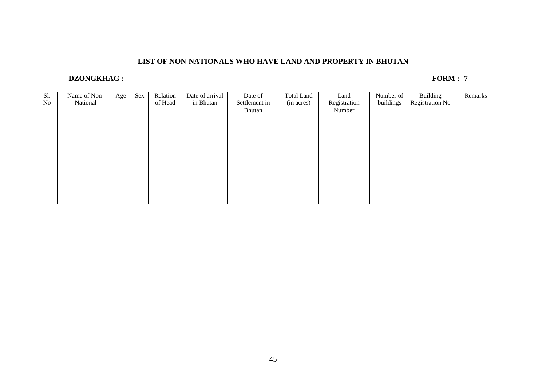#### **LIST OF NON-NATIONALS WHO HAVE LAND AND PROPERTY IN BHUTAN**

#### **DZONGKHAG :-** FORM :- 7

| Sl.<br>No | Name of Non-<br>National | Age | Sex | Relation<br>of Head | Date of arrival<br>in Bhutan | Date of<br>Settlement in<br>Bhutan | <b>Total Land</b><br>(in acres) | Land<br>Registration<br>Number | Number of<br>buildings | Building<br>Registration No | Remarks |
|-----------|--------------------------|-----|-----|---------------------|------------------------------|------------------------------------|---------------------------------|--------------------------------|------------------------|-----------------------------|---------|
|           |                          |     |     |                     |                              |                                    |                                 |                                |                        |                             |         |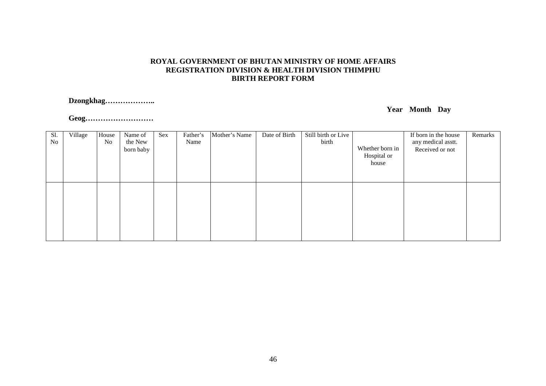#### **ROYAL GOVERNMENT OF BHUTAN MINISTRY OF HOME AFFAIRSREGISTRATION DIVISION & HEALTH DIVISION THIMPHU BIRTH REPORT FORM**

#### **Dzongkhag………………..**

#### **Year Month Day**

**Geog………………………**

| Sl.<br>No | Village | House<br>No | Name of<br>the New<br>born baby | Sex | Father's<br>Name | Mother's Name | Date of Birth | Still birth or Live<br>birth | Whether born in<br>Hospital or<br>house | If born in the house<br>any medical asstt.<br>Received or not | Remarks |
|-----------|---------|-------------|---------------------------------|-----|------------------|---------------|---------------|------------------------------|-----------------------------------------|---------------------------------------------------------------|---------|
|           |         |             |                                 |     |                  |               |               |                              |                                         |                                                               |         |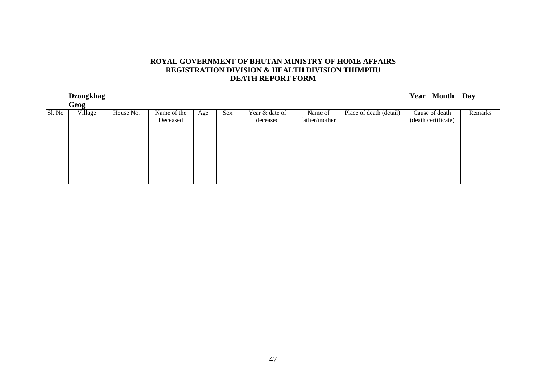#### **ROYAL GOVERNMENT OF BHUTAN MINISTRY OF HOME AFFAIRSREGISTRATION DIVISION & HEALTH DIVISION THIMPHU DEATH REPORT FORM**

**Dzongkhag Year Month Day** 

|        | Geog    |           |                         |     |     |                            |                          |                         |                                       |         |
|--------|---------|-----------|-------------------------|-----|-----|----------------------------|--------------------------|-------------------------|---------------------------------------|---------|
| Sl. No | Village | House No. | Name of the<br>Deceased | Age | Sex | Year & date of<br>deceased | Name of<br>father/mother | Place of death (detail) | Cause of death<br>(death certificate) | Remarks |
|        |         |           |                         |     |     |                            |                          |                         |                                       |         |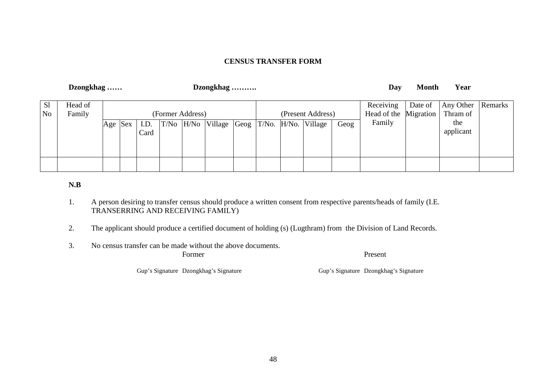#### **CENSUS TRANSFER FORM**

|                                  | Dzongkhag<br>Dzongkhag |             |  |              |  |                  |                                            |  |                   | Day  | <b>Month</b>                       | Year    |                       |         |
|----------------------------------|------------------------|-------------|--|--------------|--|------------------|--------------------------------------------|--|-------------------|------|------------------------------------|---------|-----------------------|---------|
| S <sub>1</sub><br>N <sub>o</sub> | Head of<br>Family      |             |  |              |  | (Former Address) |                                            |  | (Present Address) |      | Receiving<br>Head of the Migration | Date of | Any Other<br>Thram of | Remarks |
|                                  |                        | $ Age $ Sex |  | I.D.<br>Card |  |                  | T/No H/No Village Geog T/No. H/No. Village |  |                   | Geog | Family                             |         | the<br>applicant      |         |
|                                  |                        |             |  |              |  |                  |                                            |  |                   |      |                                    |         |                       |         |

#### **N.B**

- 1. A person desiring to transfer census should produce a written consent from respective parents/heads of family (I.E. TRANSERRING AND RECEIVING FAMILY)
- 2. The applicant should produce a certified document of holding (s) (Lugthram) from the Division of Land Records.
- 3. No census transfer can be made without the above documents.

Former Present

Gup's Signature Dzongkhag's Signature Gup's Signature Dzongkhag's Signature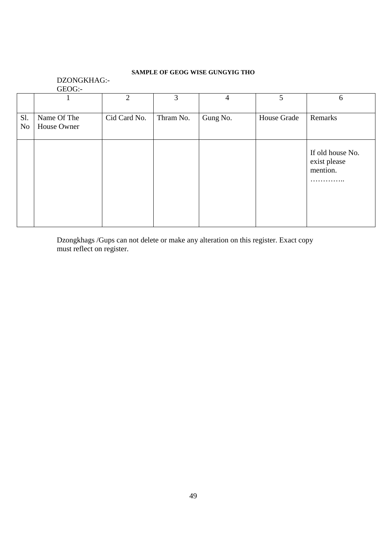#### **SAMPLE OF GEOG WISE GUNGYIG THO**

#### DZONGKHAG:- GEOG:-

|                  |                            | $\overline{2}$ | 3         | 4        | 5           | 6                                                 |
|------------------|----------------------------|----------------|-----------|----------|-------------|---------------------------------------------------|
| S1.<br><b>No</b> | Name Of The<br>House Owner | Cid Card No.   | Thram No. | Gung No. | House Grade | Remarks                                           |
|                  |                            |                |           |          |             | If old house No.<br>exist please<br>mention.<br>. |

Dzongkhags /Gups can not delete or make any alteration on this register. Exact copy must reflect on register.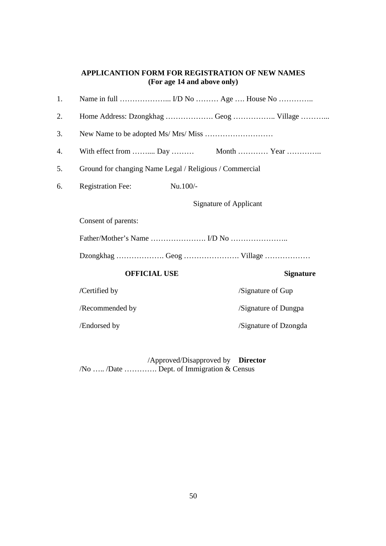#### **APPLICANTION FORM FOR REGISTRATION OF NEW NAMES (For age 14 and above only)**

| <b>Registration Fee:</b> | Nu.100/- |                     |                                                                                                                                                                                                     |
|--------------------------|----------|---------------------|-----------------------------------------------------------------------------------------------------------------------------------------------------------------------------------------------------|
|                          |          |                     |                                                                                                                                                                                                     |
| Consent of parents:      |          |                     |                                                                                                                                                                                                     |
|                          |          |                     |                                                                                                                                                                                                     |
|                          |          |                     |                                                                                                                                                                                                     |
|                          |          |                     | <b>Signature</b>                                                                                                                                                                                    |
| /Certified by            |          |                     | /Signature of Gup                                                                                                                                                                                   |
| /Recommended by          |          |                     | /Signature of Dungpa                                                                                                                                                                                |
| /Endorsed by             |          |                     | /Signature of Dzongda                                                                                                                                                                               |
|                          |          | <b>OFFICIAL USE</b> | Home Address: Dzongkhag  Geog  Village<br>With effect from  Day  Month  Year<br>Ground for changing Name Legal / Religious / Commercial<br><b>Signature of Applicant</b><br>Dzongkhag Geog  Village |

 /Approved/Disapproved by **Director** /No ….. /Date …………. Dept. of Immigration & Census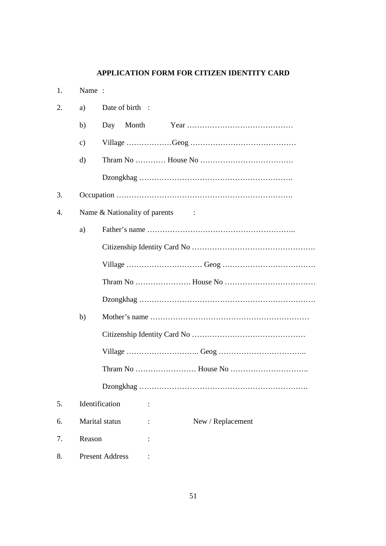## **APPLICATION FORM FOR CITIZEN IDENTITY CARD**

| 1. | Name:          |                                                              |
|----|----------------|--------------------------------------------------------------|
| 2. | a)             | Date of birth :                                              |
|    | b)             | Day Month                                                    |
|    | $\mathbf{c})$  |                                                              |
|    | $\mathbf{d}$   |                                                              |
|    |                |                                                              |
| 3. |                |                                                              |
| 4. |                | Name & Nationality of parents<br>$\sim$ $\sim$ $\sim$ $\sim$ |
|    | a)             |                                                              |
|    |                |                                                              |
|    |                |                                                              |
|    |                |                                                              |
|    |                |                                                              |
|    | b)             |                                                              |
|    |                |                                                              |
|    |                |                                                              |
|    |                |                                                              |
|    |                |                                                              |
| 5. | Identification |                                                              |
| 6. | Marital status | New / Replacement                                            |
| 7. | Reason         |                                                              |
| 8. |                | <b>Present Address</b>                                       |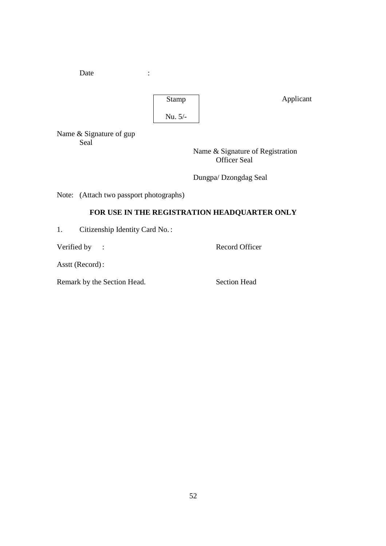Date :



Applicant

Name & Signature of gup Seal

 Name & Signature of Registration Officer Seal

Dungpa/ Dzongdag Seal

Note: (Attach two passport photographs)

### **FOR USE IN THE REGISTRATION HEADQUARTER ONLY**

1. Citizenship Identity Card No. :

Verified by : Record Officer

Asstt (Record) :

Remark by the Section Head. Section Head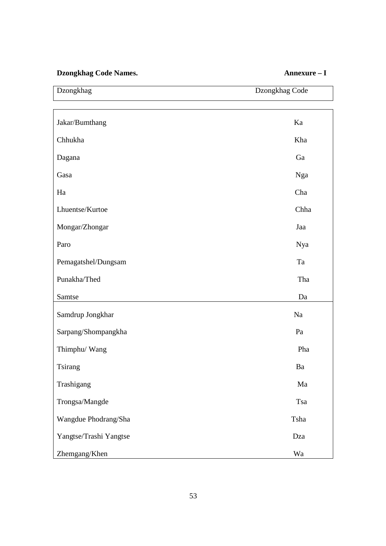### **Dzongkhag Code Names. Annexure – I**

÷,

| Dzongkhag              | Dzongkhag Code |
|------------------------|----------------|
|                        |                |
| Jakar/Bumthang         | Ka             |
| Chhukha                | Kha            |
| Dagana                 | Ga             |
| Gasa                   | Nga            |
| Ha                     | Cha            |
| Lhuentse/Kurtoe        | Chha           |
| Mongar/Zhongar         | Jaa            |
| Paro                   | Nya            |
| Pemagatshel/Dungsam    | Ta             |
| Punakha/Thed           | Tha            |
| Samtse                 | Da             |
| Samdrup Jongkhar       | Na             |
| Sarpang/Shompangkha    | Pa             |
| Thimphu/ Wang          | Pha            |
| Tsirang                | Ba             |
| Trashigang             | Ma             |
| Trongsa/Mangde         | Tsa            |
| Wangdue Phodrang/Sha   | Tsha           |
| Yangtse/Trashi Yangtse | Dza            |
| Zhemgang/Khen          | Wa             |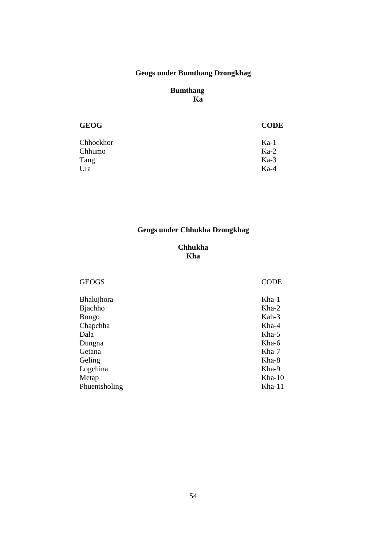# **Geogs under Bumthang Dzongkhag**

#### **Bumthang Ka**

| <b>GEOG</b> | <b>CODE</b> |
|-------------|-------------|
| Chhockhor   | $Ka-1$      |
| Chhumo      | $Ka-2$      |
| Tang        | $Ka-3$      |
| Ura         | $Ka-4$      |
|             |             |

# **Geogs under Chhukha Dzongkhag**

#### **Chhukha Kha**

| <b>GEOGS</b>   | <b>CODE</b> |
|----------------|-------------|
| Bhalujhora     | $Kha-1$     |
| <b>Bjachho</b> | $Kha-2$     |
| Bongo          | Kah-3       |
| Chapchha       | $Kha-4$     |
| Dala           | $Kha-5$     |
| Dungna         | Kha-6       |
| Getana         | $Kha-7$     |
| Geling         | Kha-8       |
| Logchina       | Kha-9       |
| Metap          | $Kha-10$    |
| Phuentsholing  | $Kha-11$    |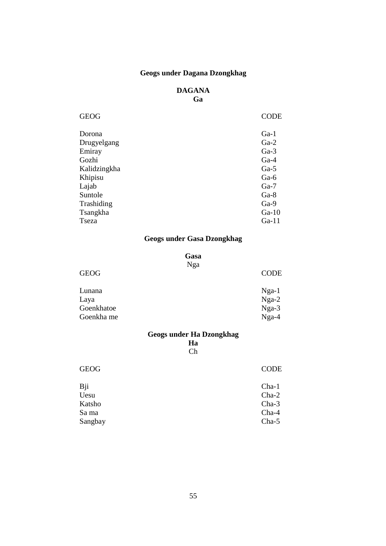### **Geogs under Dagana Dzongkhag**

#### **DAGANA Ga**

| <b>GEOG</b>  | <b>CODE</b> |
|--------------|-------------|
| Dorona       | $Ga-1$      |
| Drugyelgang  | $Ga-2$      |
| Emiray       | $Ga-3$      |
| Gozhi        | $Ga-4$      |
| Kalidzingkha | $Ga-5$      |
| Khipisu      | $Ga-6$      |
| Lajab        | $Ga-7$      |
| Suntole      | $Ga-8$      |
| Trashiding   | $Ga-9$      |
| Tsangkha     | $Ga-10$     |
| Tseza        | $Ga-11$     |

### **Geogs under Gasa Dzongkhag**

#### **Gasa**

#### Nga

| <b>GEOG</b> | <b>CODE</b> |
|-------------|-------------|
| Lunana      | $Nga-1$     |
| Laya        | $Nga-2$     |
| Goenkhatoe  | $Nga-3$     |
| Goenkha me  | $Nga-4$     |

# **Geogs under Ha Dzongkhag**

**Ha**  Ch

| Bji<br>$Cha-1$<br>Uesu<br>$Cha-2$<br>$Cha-3$<br>Katsho<br>Cha-4<br>Sa ma<br>Cha-5<br>Sangbay | <b>GEOG</b> | <b>CODE</b> |
|----------------------------------------------------------------------------------------------|-------------|-------------|
|                                                                                              |             |             |
|                                                                                              |             |             |
|                                                                                              |             |             |
|                                                                                              |             |             |
|                                                                                              |             |             |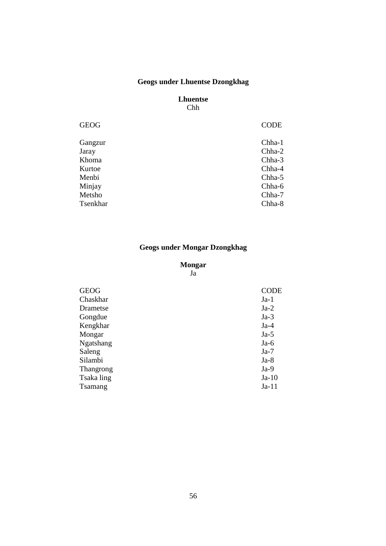### **Geogs under Lhuentse Dzongkhag**

#### **Lhuentse**  Chh

| <b>GEOG</b> | <b>CODE</b> |
|-------------|-------------|
| Gangzur     | Chha-1      |
| Jaray       | Chha-2      |
| Khoma       | Chha-3      |
| Kurtoe      | Chha-4      |
| Menbi       | Chha-5      |
| Minjay      | Chha-6      |
| Metsho      | Chha-7      |
| Tsenkhar    | Chha-8      |
|             |             |

# **Geogs under Mongar Dzongkhag**

#### **Mongar**

Ja

| <b>GEOG</b> | <b>CODE</b> |
|-------------|-------------|
| Chaskhar    | $Ja-1$      |
| Drametse    | $Ja-2$      |
| Gongdue     | $Ja-3$      |
| Kengkhar    | $Ja-4$      |
| Mongar      | $Ja-5$      |
| Ngatshang   | $Ja-6$      |
| Saleng      | $Ja-7$      |
| Silambi     | $Ja-8$      |
| Thangrong   | $Ja-9$      |
| Tsaka ling  | $Ja-10$     |
| Tsamang     | $Ja-11$     |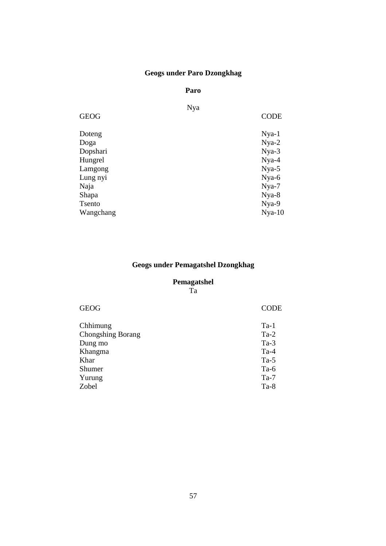# **Geogs under Paro Dzongkhag**

#### **Paro**

| <b>CODE</b> |
|-------------|
| $Nya-1$     |
| $Nya-2$     |
| $Nya-3$     |
| $Nya-4$     |
| $Nya-5$     |
| Nya-6       |
| Nya-7       |
| Nya-8       |
| Nya-9       |
| $Nya-10$    |
| Nya         |

### **Geogs under Pemagatshel Dzongkhag**

# **Pemagatshel**

Ta

| <b>GEOG</b>              | <b>CODE</b> |
|--------------------------|-------------|
| Chhimung                 | $Ta-1$      |
| <b>Chongshing Borang</b> | $Ta-2$      |
| Dung mo                  | $Ta-3$      |
| Khangma                  | $Ta-4$      |
| Khar                     | $Ta-5$      |
| Shumer                   | $Ta-6$      |
| Yurung                   | $Ta-7$      |
| Zobel                    | $Ta-8$      |
|                          |             |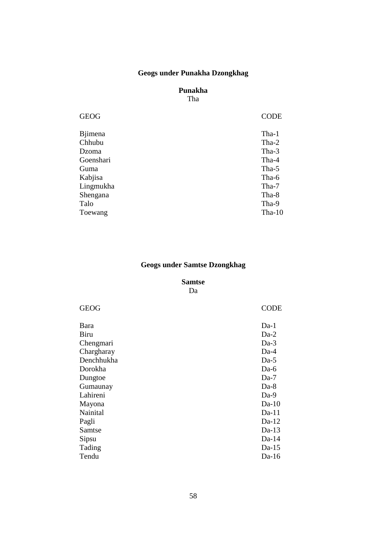### **Geogs under Punakha Dzongkhag**

# **Punakha**

Tha

| Tha-1<br><b>B</b> jimena |  |
|--------------------------|--|
| Chhubu<br>$Tha-2$        |  |
| Tha-3<br>Dzoma           |  |
| Goenshari<br>Tha-4       |  |
| Tha-5<br>Guma            |  |
| Kabjisa<br>Tha-6         |  |
| Lingmukha<br>Tha-7       |  |
| Shengana<br>Tha-8        |  |
| Talo<br>Tha-9            |  |
| Tha- $10$<br>Toewang     |  |

### **Geogs under Samtse Dzongkhag**

#### **Samtse**

Da

| <b>GEOG</b> | <b>CODE</b> |
|-------------|-------------|
| Bara        | $Da-1$      |
| <b>Biru</b> | $Da-2$      |
| Chengmari   | $Da-3$      |
| Chargharay  | $Da-4$      |
| Denchhukha  | $Da-5$      |
| Dorokha     | $Da-6$      |
| Dungtoe     | $Da-7$      |
| Gumaunay    | $Da-8$      |
| Lahireni    | $Da-9$      |
| Mayona      | $Da-10$     |
| Nainital    | $Da-11$     |
| Pagli       | $Da-12$     |
| Samtse      | $Da-13$     |
| Sipsu       | $Da-14$     |
| Tading      | $Da-15$     |
| Tendu       | $Da-16$     |
|             |             |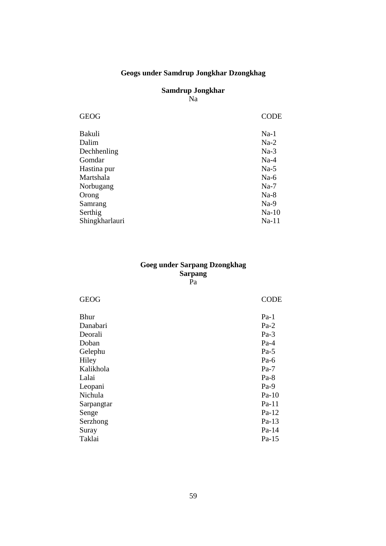### **Geogs under Samdrup Jongkhar Dzongkhag**

#### **Samdrup Jongkhar**  Na

| <b>GEOG</b>    | <b>CODE</b> |
|----------------|-------------|
| Bakuli         | $Na-1$      |
| Dalim          | $Na-2$      |
| Dechhenling    | $Na-3$      |
| Gomdar         | $Na-4$      |
| Hastina pur    | $Na-5$      |
| Martshala      | $Na-6$      |
| Norbugang      | $Na-7$      |
| Orong          | $Na-8$      |
| Samrang        | $Na-9$      |
| Serthig        | $Na-10$     |
| Shingkharlauri | $Na-11$     |
|                |             |

#### **Goeg under Sarpang Dzongkhag Sarpang**  Pa

| <b>GEOG</b> | <b>CODE</b> |
|-------------|-------------|
| <b>Bhur</b> | $Pa-1$      |
| Danabari    | $Pa-2$      |
| Deorali     | $Pa-3$      |
| Doban       | $Pa-4$      |
| Gelephu     | $Pa-5$      |
| Hiley       | $Pa-6$      |
| Kalikhola   | $Pa-7$      |
| Lalai       | $Pa-8$      |
| Leopani     | $Pa-9$      |
| Nichula     | $Pa-10$     |
| Sarpangtar  | $Pa-11$     |
| Senge       | $Pa-12$     |
| Serzhong    | $Pa-13$     |
| Suray       | Pa-14       |
| Taklai      | $Pa-15$     |
|             |             |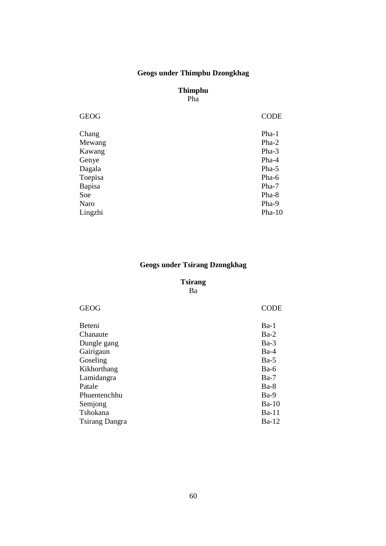### **Geogs under Thimphu Dzongkhag**

#### **Thimphu**  Pha

| <b>GEOG</b> | <b>CODE</b> |
|-------------|-------------|
| Chang       | $Pha-1$     |
| Mewang      | $Pha-2$     |
| Kawang      | Pha-3       |
| Genye       | Pha-4       |
| Dagala      | Pha-5       |
| Toepisa     | Pha-6       |
| Bapisa      | Pha-7       |
| Soe         | Pha-8       |
| Naro        | Pha-9       |
| Lingzhi     | $Pha-10$    |

### **Geogs under Tsirang Dzongkhag**

# **Tsirang**

Ba

| <b>GEOG</b>           | CODE         |
|-----------------------|--------------|
| Beteni                | $Ba-1$       |
| Chanaute              | $Ba-2$       |
| Dungle gang           | $Ba-3$       |
| Gairigaun             | $Ba-4$       |
| Goseling              | $Ba-5$       |
| Kikhorthang           | $Ba-6$       |
| Lamidangra            | $Ba-7$       |
| Patale                | $Ba-8$       |
| Phuentenchhu          | $Ba-9$       |
| Semjong               | $Ba-10$      |
| Tshokana              | <b>Ba-11</b> |
| <b>Tsirang Dangra</b> | $Ba-12$      |
|                       |              |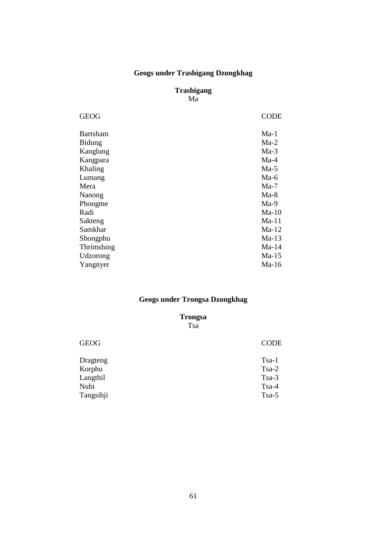# **Geogs under Trashigang Dzongkhag**

#### **Trashigang**  Ma

| <b>GEOG</b>     | <b>CODE</b> |
|-----------------|-------------|
| <b>Bartsham</b> | $Ma-1$      |
| <b>Bidung</b>   | $Ma-2$      |
| Kanglung        | $Ma-3$      |
| Kangpara        | $Ma-4$      |
| Khaling         | $Ma-5$      |
| Lumang          | $Ma-6$      |
| Mera            | $Ma-7$      |
| Nanong          | $Ma-8$      |
| Phongme         | $Ma-9$      |
| Radi            | $Ma-10$     |
| Sakteng         | $Ma-11$     |
| Samkhar         | $Ma-12$     |
| Shongphu        | $Ma-13$     |
| Thrimshing      | $Ma-14$     |
| Udzorong        | $Ma-15$     |
| Yangnyer        | $Ma-16$     |
|                 |             |

# **Geogs under Trongsa Dzongkhag**

**Trongsa** 

Tsa

| $Tsa-1$ |
|---------|
| $Tsa-2$ |
| $Tsa-3$ |
| $Tsa-4$ |
| $Tsa-5$ |
|         |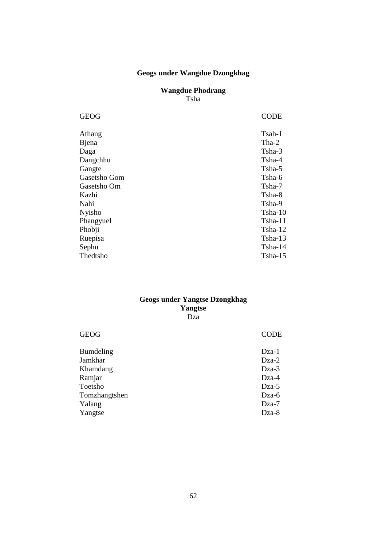### **Geogs under Wangdue Dzongkhag**

### **Wangdue Phodrang**  Tsha

| <b>GEOG</b>   | CODE      |
|---------------|-----------|
| Athang        | Tsah-1    |
| Bjena         | Tha-2     |
| Daga          | Tsha-3    |
| Dangchhu      | Tsha-4    |
| Gangte        | Tsha-5    |
| Gasetsho Gom  | Tsha-6    |
| Gasetsho Om   | Tsha-7    |
| Kazhi         | Tsha-8    |
| Nahi          | Tsha-9    |
| <b>Nyisho</b> | $Tsha-10$ |
| Phangyuel     | $Tsha-11$ |
| Phobji        | Tsha-12   |
| Ruepisa       | $Tsha-13$ |
| Sephu         | Tsha-14   |
| Thedtsho      | $Tsha-15$ |
|               |           |

#### **Geogs under Yangtse Dzongkhag Yangtse**  Dza

| <b>GEOG</b>      | <b>CODE</b> |
|------------------|-------------|
| <b>Bumdeling</b> | Dza-1       |
| Jamkhar          | $Dza-2$     |
| Khamdang         | Dza-3       |
| Ramjar           | $Dza-4$     |
| Toetsho          | $Dza-5$     |
| Tomzhangtshen    | Dza-6       |
| Yalang           | Dza-7       |
| Yangtse          | Dza-8       |
|                  |             |